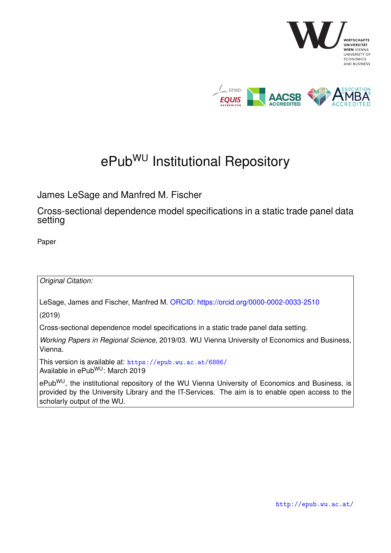

# ePub<sup>WU</sup> Institutional Repository

James LeSage and Manfred M. Fischer

Cross-sectional dependence model specifications in a static trade panel data setting

Paper

*Original Citation:*

LeSage, James and Fischer, Manfred M. [ORCID: https://orcid.org/0000-0002-0033-2510](https://orcid.org/0000-0002-0033-2510)

(2019)

Cross-sectional dependence model specifications in a static trade panel data setting.

*Working Papers in Regional Science*, 2019/03. WU Vienna University of Economics and Business, Vienna.

This version is available at: <https://epub.wu.ac.at/6886/> Available in ePubWU: March 2019

ePub<sup>WU</sup>, the institutional repository of the WU Vienna University of Economics and Business, is provided by the University Library and the IT-Services. The aim is to enable open access to the scholarly output of the WU.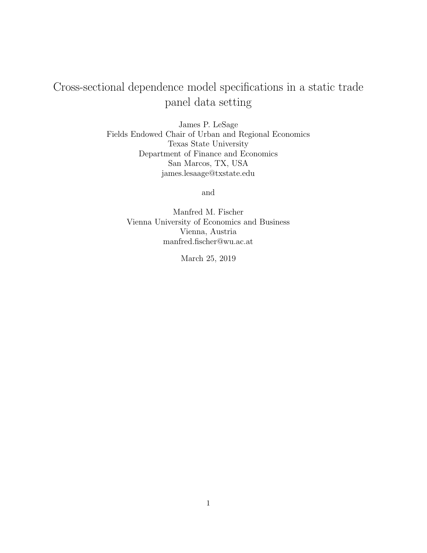# Cross-sectional dependence model specifications in a static trade panel data setting

James P. LeSage Fields Endowed Chair of Urban and Regional Economics Texas State University Department of Finance and Economics San Marcos, TX, USA james.lesaage@txstate.edu

and

Manfred M. Fischer Vienna University of Economics and Business Vienna, Austria manfred.fischer@wu.ac.at

March 25, 2019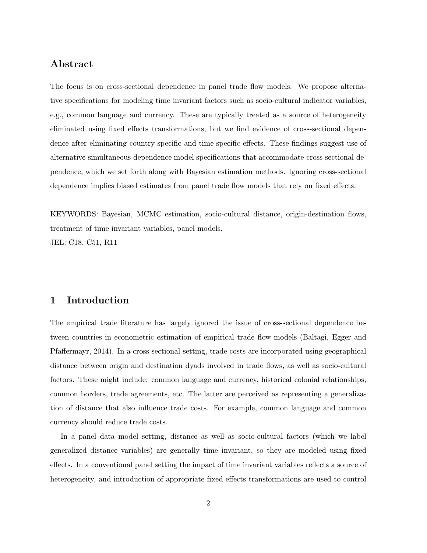# **Abstract**

The focus is on cross-sectional dependence in panel trade flow models. We propose alternative specifications for modeling time invariant factors such as socio-cultural indicator variables, e.g., common language and currency. These are typically treated as a source of heterogeneity eliminated using fixed effects transformations, but we find evidence of cross-sectional dependence after eliminating country-specific and time-specific effects. These findings suggest use of alternative simultaneous dependence model specifications that accommodate cross-sectional dependence, which we set forth along with Bayesian estimation methods. Ignoring cross-sectional dependence implies biased estimates from panel trade flow models that rely on fixed effects.

KEYWORDS: Bayesian, MCMC estimation, socio-cultural distance, origin-destination flows, treatment of time invariant variables, panel models. JEL: C18, C51, R11

# **1 Introduction**

The empirical trade literature has largely ignored the issue of cross-sectional dependence between countries in econometric estimation of empirical trade flow models (Baltagi, Egger and Pfaffermayr, 2014). In a cross-sectional setting, trade costs are incorporated using geographical distance between origin and destination dyads involved in trade flows, as well as socio-cultural factors. These might include: common language and currency, historical colonial relationships, common borders, trade agreements, etc. The latter are perceived as representing a generalization of distance that also influence trade costs. For example, common language and common currency should reduce trade costs.

In a panel data model setting, distance as well as socio-cultural factors (which we label generalized distance variables) are generally time invariant, so they are modeled using fixed effects. In a conventional panel setting the impact of time invariant variables reflects a source of heterogeneity, and introduction of appropriate fixed effects transformations are used to control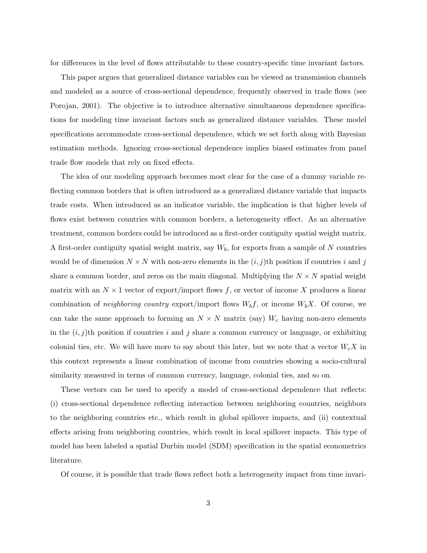for differences in the level of flows attributable to these country-specific time invariant factors.

This paper argues that generalized distance variables can be viewed as transmission channels and modeled as a source of cross-sectional dependence, frequently observed in trade flows (see Porojan, 2001). The objective is to introduce alternative simultaneous dependence specifications for modeling time invariant factors such as generalized distance variables. These model specifications accommodate cross-sectional dependence, which we set forth along with Bayesian estimation methods. Ignoring cross-sectional dependence implies biased estimates from panel trade flow models that rely on fixed effects.

The idea of our modeling approach becomes most clear for the case of a dummy variable reflecting common borders that is often introduced as a generalized distance variable that impacts trade costs. When introduced as an indicator variable, the implication is that higher levels of flows exist between countries with common borders, a heterogeneity effect. As an alternative treatment, common borders could be introduced as a first-order contiguity spatial weight matrix. A first-order contiguity spatial weight matrix, say  $W_b$ , for exports from a sample of N countries would be of dimension  $N \times N$  with non-zero elements in the  $(i, j)$ th position if countries i and j share a common border, and zeros on the main diagonal. Multiplying the  $N \times N$  spatial weight matrix with an  $N \times 1$  vector of export/import flows f, or vector of income X produces a linear combination of *neighboring country* export/import flows  $W_b f$ , or income  $W_b X$ . Of course, we can take the same approach to forming an  $N \times N$  matrix (say)  $W_c$  having non-zero elements in the  $(i, j)$ <sup>th</sup> position if countries i and j share a common currency or language, or exhibiting colonial ties, etc. We will have more to say about this later, but we note that a vector  $W_cX$  in this context represents a linear combination of income from countries showing a socio-cultural similarity measured in terms of common currency, language, colonial ties, and so on.

These vectors can be used to specify a model of cross-sectional dependence that reflects: (i) cross-sectional dependence reflecting interaction between neighboring countries, neighbors to the neighboring countries etc., which result in global spillover impacts, and (ii) contextual effects arising from neighboring countries, which result in local spillover impacts. This type of model has been labeled a spatial Durbin model (SDM) specification in the spatial econometrics literature.

Of course, it is possible that trade flows reflect both a heterogeneity impact from time invari-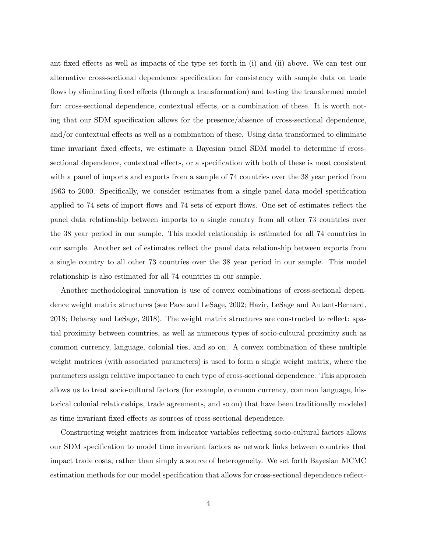ant fixed effects as well as impacts of the type set forth in (i) and (ii) above. We can test our alternative cross-sectional dependence specification for consistency with sample data on trade flows by eliminating fixed effects (through a transformation) and testing the transformed model for: cross-sectional dependence, contextual effects, or a combination of these. It is worth noting that our SDM specification allows for the presence/absence of cross-sectional dependence, and/or contextual effects as well as a combination of these. Using data transformed to eliminate time invariant fixed effects, we estimate a Bayesian panel SDM model to determine if crosssectional dependence, contextual effects, or a specification with both of these is most consistent with a panel of imports and exports from a sample of 74 countries over the 38 year period from 1963 to 2000. Specifically, we consider estimates from a single panel data model specification applied to 74 sets of import flows and 74 sets of export flows. One set of estimates reflect the panel data relationship between imports to a single country from all other 73 countries over the 38 year period in our sample. This model relationship is estimated for all 74 countries in our sample. Another set of estimates reflect the panel data relationship between exports from a single country to all other 73 countries over the 38 year period in our sample. This model relationship is also estimated for all 74 countries in our sample.

Another methodological innovation is use of convex combinations of cross-sectional dependence weight matrix structures (see Pace and LeSage, 2002; Hazir, LeSage and Autant-Bernard, 2018; Debarsy and LeSage, 2018). The weight matrix structures are constructed to reflect: spatial proximity between countries, as well as numerous types of socio-cultural proximity such as common currency, language, colonial ties, and so on. A convex combination of these multiple weight matrices (with associated parameters) is used to form a single weight matrix, where the parameters assign relative importance to each type of cross-sectional dependence. This approach allows us to treat socio-cultural factors (for example, common currency, common language, historical colonial relationships, trade agreements, and so on) that have been traditionally modeled as time invariant fixed effects as sources of cross-sectional dependence.

Constructing weight matrices from indicator variables reflecting socio-cultural factors allows our SDM specification to model time invariant factors as network links between countries that impact trade costs, rather than simply a source of heterogeneity. We set forth Bayesian MCMC estimation methods for our model specification that allows for cross-sectional dependence reflect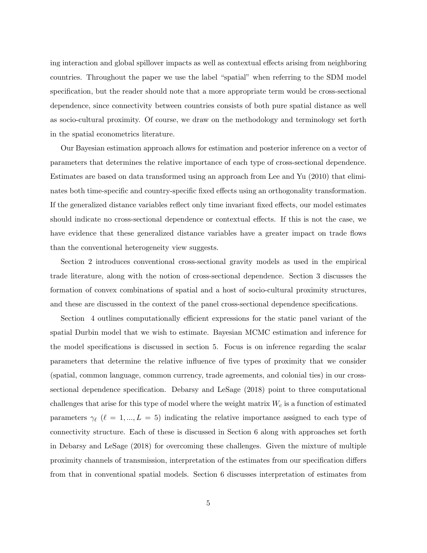ing interaction and global spillover impacts as well as contextual effects arising from neighboring countries. Throughout the paper we use the label "spatial" when referring to the SDM model specification, but the reader should note that a more appropriate term would be cross-sectional dependence, since connectivity between countries consists of both pure spatial distance as well as socio-cultural proximity. Of course, we draw on the methodology and terminology set forth in the spatial econometrics literature.

Our Bayesian estimation approach allows for estimation and posterior inference on a vector of parameters that determines the relative importance of each type of cross-sectional dependence. Estimates are based on data transformed using an approach from Lee and Yu (2010) that eliminates both time-specific and country-specific fixed effects using an orthogonality transformation. If the generalized distance variables reflect only time invariant fixed effects, our model estimates should indicate no cross-sectional dependence or contextual effects. If this is not the case, we have evidence that these generalized distance variables have a greater impact on trade flows than the conventional heterogeneity view suggests.

Section 2 introduces conventional cross-sectional gravity models as used in the empirical trade literature, along with the notion of cross-sectional dependence. Section 3 discusses the formation of convex combinations of spatial and a host of socio-cultural proximity structures, and these are discussed in the context of the panel cross-sectional dependence specifications.

Section 4 outlines computationally efficient expressions for the static panel variant of the spatial Durbin model that we wish to estimate. Bayesian MCMC estimation and inference for the model specifications is discussed in section 5. Focus is on inference regarding the scalar parameters that determine the relative influence of five types of proximity that we consider (spatial, common language, common currency, trade agreements, and colonial ties) in our crosssectional dependence specification. Debarsy and LeSage (2018) point to three computational challenges that arise for this type of model where the weight matrix  $W_c$  is a function of estimated parameters  $\gamma_{\ell}$  ( $\ell = 1, ..., L = 5$ ) indicating the relative importance assigned to each type of connectivity structure. Each of these is discussed in Section 6 along with approaches set forth in Debarsy and LeSage (2018) for overcoming these challenges. Given the mixture of multiple proximity channels of transmission, interpretation of the estimates from our specification differs from that in conventional spatial models. Section 6 discusses interpretation of estimates from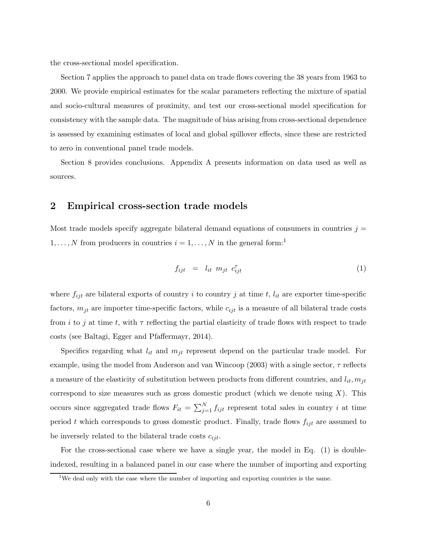the cross-sectional model specification.

Section 7 applies the approach to panel data on trade flows covering the 38 years from 1963 to 2000. We provide empirical estimates for the scalar parameters reflecting the mixture of spatial and socio-cultural measures of proximity, and test our cross-sectional model specification for consistency with the sample data. The magnitude of bias arising from cross-sectional dependence is assessed by examining estimates of local and global spillover effects, since these are restricted to zero in conventional panel trade models.

Section 8 provides conclusions. Appendix A presents information on data used as well as sources.

# **2 Empirical cross-section trade models**

Most trade models specify aggregate bilateral demand equations of consumers in countries  $j =$  $1, \ldots, N$  from producers in countries  $i = 1, \ldots, N$  in the general form:<sup>1</sup>

$$
f_{ijt} = l_{it} \ m_{jt} \ c_{ijt}^{\tau} \tag{1}
$$

where  $f_{ijt}$  are bilateral exports of country i to country j at time t,  $l_{it}$  are exporter time-specific factors,  $m_{jt}$  are importer time-specific factors, while  $c_{ijt}$  is a measure of all bilateral trade costs from i to j at time t, with  $\tau$  reflecting the partial elasticity of trade flows with respect to trade costs (see Baltagi, Egger and Pfaffermayr, 2014).

Specifics regarding what  $l_{it}$  and  $m_{jt}$  represent depend on the particular trade model. For example, using the model from Anderson and van Wincoop (2003) with a single sector,  $\tau$  reflects a measure of the elasticity of substitution between products from different countries, and  $l_{it}$ ,  $m_{jt}$ correspond to size measures such as gross domestic product (which we denote using  $X$ ). This occurs since aggregated trade flows  $F_{it} = \sum_{j=1}^{N} f_{ijt}$  represent total sales in country i at time period t which corresponds to gross domestic product. Finally, trade flows  $f_{ijt}$  are assumed to be inversely related to the bilateral trade costs  $c_{ijt}$ .

For the cross-sectional case where we have a single year, the model in Eq. (1) is doubleindexed, resulting in a balanced panel in our case where the number of importing and exporting

<sup>&</sup>lt;sup>1</sup>We deal only with the case where the number of importing and exporting countries is the same.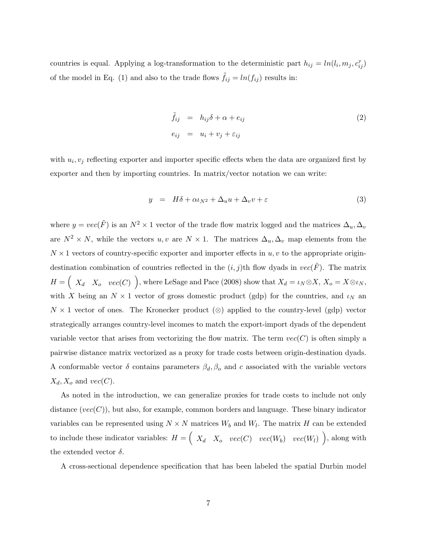countries is equal. Applying a log-transformation to the deterministic part  $h_{ij} = ln(l_i, m_j, c_{ij}^{\tau})$ of the model in Eq. (1) and also to the trade flows  $\tilde{f}_{ij} = ln(f_{ij})$  results in:

$$
\tilde{f}_{ij} = h_{ij}\delta + \alpha + e_{ij}
$$
\n
$$
e_{ij} = u_i + v_j + \varepsilon_{ij}
$$
\n(2)

with  $u_i, v_j$  reflecting exporter and importer specific effects when the data are organized first by exporter and then by importing countries. In matrix/vector notation we can write:

$$
y = H\delta + \alpha \iota_{N^2} + \Delta_u u + \Delta_v v + \varepsilon \tag{3}
$$

where  $y = vec(\tilde{F})$  is an  $N^2 \times 1$  vector of the trade flow matrix logged and the matrices  $\Delta_u, \Delta_v$ are  $N^2 \times N$ , while the vectors  $u, v$  are  $N \times 1$ . The matrices  $\Delta_u, \Delta_v$  map elements from the  $N \times 1$  vectors of country-specific exporter and importer effects in  $u, v$  to the appropriate origindestination combination of countries reflected in the  $(i, j)$ th flow dyads in  $vec(F)$ . The matrix  $H = \begin{pmatrix} X_d & X_o & vec(C) \end{pmatrix}$ , where LeSage and Pace (2008) show that  $X_d = \iota_N \otimes X$ ,  $X_o = X \otimes \iota_N$ , with X being an  $N \times 1$  vector of gross domestic product (gdp) for the countries, and  $\iota_N$  and  $N \times 1$  vector of ones. The Kronecker product (⊗) applied to the country-level (gdp) vector strategically arranges country-level incomes to match the export-import dyads of the dependent variable vector that arises from vectorizing the flow matrix. The term  $vec(C)$  is often simply a pairwise distance matrix vectorized as a proxy for trade costs between origin-destination dyads. A conformable vector  $\delta$  contains parameters  $\beta_d$ ,  $\beta_o$  and c associated with the variable vectors  $X_d, X_o$  and  $vec(C)$ .

As noted in the introduction, we can generalize proxies for trade costs to include not only distance  $(vec(C))$ , but also, for example, common borders and language. These binary indicator variables can be represented using  $N \times N$  matrices  $W_b$  and  $W_l$ . The matrix H can be extended to include these indicator variables:  $H = \begin{pmatrix} X_d & X_o & vec(C) & vec(W_b) & vec(W_l) \end{pmatrix}$ , along with the extended vector  $\delta$ .

A cross-sectional dependence specification that has been labeled the spatial Durbin model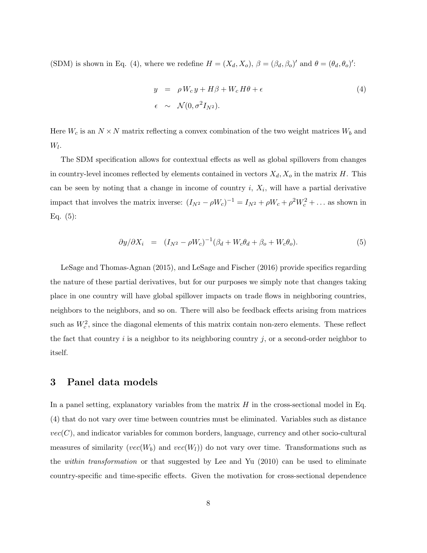(SDM) is shown in Eq. (4), where we redefine  $H = (X_d, X_o)$ ,  $\beta = (\beta_d, \beta_o)'$  and  $\theta = (\theta_d, \theta_o)'$ :

$$
y = \rho W_c y + H\beta + W_c H\theta + \epsilon
$$
  
\n
$$
\epsilon \sim \mathcal{N}(0, \sigma^2 I_{N^2}).
$$
\n(4)

Here  $W_c$  is an  $N \times N$  matrix reflecting a convex combination of the two weight matrices  $W_b$  and  $W_l$ .

The SDM specification allows for contextual effects as well as global spillovers from changes in country-level incomes reflected by elements contained in vectors  $X_d, X_o$  in the matrix H. This can be seen by noting that a change in income of country  $i, X_i$ , will have a partial derivative impact that involves the matrix inverse:  $(I_{N^2} - \rho W_c)^{-1} = I_{N^2} + \rho W_c + \rho^2 W_c^2 + \dots$  as shown in Eq.  $(5)$ :

$$
\partial y/\partial X_i = (I_{N^2} - \rho W_c)^{-1} (\beta_d + W_c \theta_d + \beta_o + W_c \theta_o). \tag{5}
$$

LeSage and Thomas-Agnan (2015), and LeSage and Fischer (2016) provide specifics regarding the nature of these partial derivatives, but for our purposes we simply note that changes taking place in one country will have global spillover impacts on trade flows in neighboring countries, neighbors to the neighbors, and so on. There will also be feedback effects arising from matrices such as  $W_c^2$ , since the diagonal elements of this matrix contain non-zero elements. These reflect the fact that country  $i$  is a neighbor to its neighboring country  $j$ , or a second-order neighbor to itself.

### **3 Panel data models**

In a panel setting, explanatory variables from the matrix  $H$  in the cross-sectional model in Eq. (4) that do not vary over time between countries must be eliminated. Variables such as distance  $vec(C)$ , and indicator variables for common borders, language, currency and other socio-cultural measures of similarity ( $vec(W_b)$ ) and  $vec(W_l)$ ) do not vary over time. Transformations such as the *within transformation* or that suggested by Lee and Yu (2010) can be used to eliminate country-specific and time-specific effects. Given the motivation for cross-sectional dependence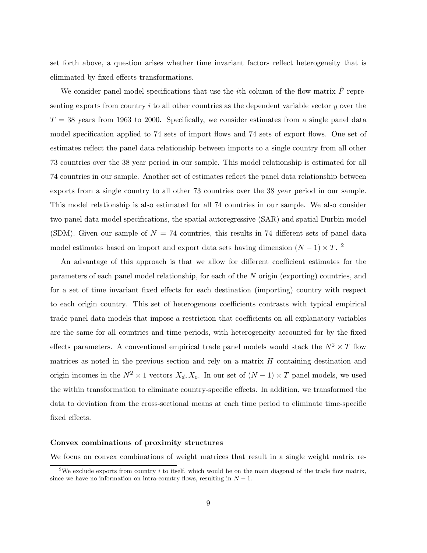set forth above, a question arises whether time invariant factors reflect heterogeneity that is eliminated by fixed effects transformations.

We consider panel model specifications that use the *i*th column of the flow matrix  $\tilde{F}$  representing exports from country i to all other countries as the dependent variable vector y over the  $T = 38$  years from 1963 to 2000. Specifically, we consider estimates from a single panel data model specification applied to 74 sets of import flows and 74 sets of export flows. One set of estimates reflect the panel data relationship between imports to a single country from all other 73 countries over the 38 year period in our sample. This model relationship is estimated for all 74 countries in our sample. Another set of estimates reflect the panel data relationship between exports from a single country to all other 73 countries over the 38 year period in our sample. This model relationship is also estimated for all 74 countries in our sample. We also consider two panel data model specifications, the spatial autoregressive (SAR) and spatial Durbin model (SDM). Given our sample of  $N = 74$  countries, this results in 74 different sets of panel data model estimates based on import and export data sets having dimension  $(N-1) \times T$ . <sup>2</sup>

An advantage of this approach is that we allow for different coefficient estimates for the parameters of each panel model relationship, for each of the N origin (exporting) countries, and for a set of time invariant fixed effects for each destination (importing) country with respect to each origin country. This set of heterogenous coefficients contrasts with typical empirical trade panel data models that impose a restriction that coefficients on all explanatory variables are the same for all countries and time periods, with heterogeneity accounted for by the fixed effects parameters. A conventional empirical trade panel models would stack the  $N^2 \times T$  flow matrices as noted in the previous section and rely on a matrix  $H$  containing destination and origin incomes in the  $N^2 \times 1$  vectors  $X_d, X_o$ . In our set of  $(N-1) \times T$  panel models, we used the within transformation to eliminate country-specific effects. In addition, we transformed the data to deviation from the cross-sectional means at each time period to eliminate time-specific fixed effects.

#### **Convex combinations of proximity structures**

We focus on convex combinations of weight matrices that result in a single weight matrix re-

<sup>&</sup>lt;sup>2</sup>We exclude exports from country i to itself, which would be on the main diagonal of the trade flow matrix, since we have no information on intra-country flows, resulting in  $N - 1$ .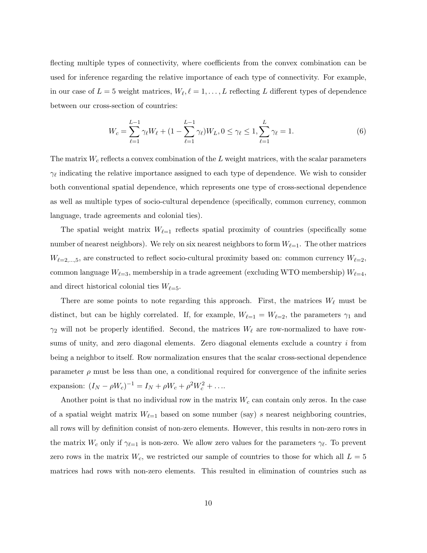flecting multiple types of connectivity, where coefficients from the convex combination can be used for inference regarding the relative importance of each type of connectivity. For example, in our case of  $L = 5$  weight matrices,  $W_{\ell}, \ell = 1, \ldots, L$  reflecting L different types of dependence between our cross-section of countries:

$$
W_c = \sum_{\ell=1}^{L-1} \gamma_\ell W_\ell + (1 - \sum_{\ell=1}^{L-1} \gamma_\ell) W_L, 0 \le \gamma_\ell \le 1, \sum_{\ell=1}^{L} \gamma_\ell = 1.
$$
 (6)

The matrix  $W_c$  reflects a convex combination of the  $L$  weight matrices, with the scalar parameters  $\gamma_{\ell}$  indicating the relative importance assigned to each type of dependence. We wish to consider both conventional spatial dependence, which represents one type of cross-sectional dependence as well as multiple types of socio-cultural dependence (specifically, common currency, common language, trade agreements and colonial ties).

The spatial weight matrix  $W_{\ell=1}$  reflects spatial proximity of countries (specifically some number of nearest neighbors). We rely on six nearest neighbors to form  $W_{\ell=1}$ . The other matrices  $W_{\ell=2,\dots,5}$ , are constructed to reflect socio-cultural proximity based on: common currency  $W_{\ell=2}$ , common language  $W_{\ell=3}$ , membership in a trade agreement (excluding WTO membership)  $W_{\ell=4}$ , and direct historical colonial ties  $W_{\ell=5}$ .

There are some points to note regarding this approach. First, the matrices  $W_{\ell}$  must be distinct, but can be highly correlated. If, for example,  $W_{\ell=1} = W_{\ell=2}$ , the parameters  $\gamma_1$  and  $\gamma_2$  will not be properly identified. Second, the matrices  $W_{\ell}$  are row-normalized to have rowsums of unity, and zero diagonal elements. Zero diagonal elements exclude a country  $i$  from being a neighbor to itself. Row normalization ensures that the scalar cross-sectional dependence parameter  $\rho$  must be less than one, a conditional required for convergence of the infinite series expansion:  $(I_N - \rho W_c)^{-1} = I_N + \rho W_c + \rho^2 W_c^2 + \dots$ 

Another point is that no individual row in the matrix  $W_c$  can contain only zeros. In the case of a spatial weight matrix  $W_{\ell=1}$  based on some number (say) s nearest neighboring countries, all rows will by definition consist of non-zero elements. However, this results in non-zero rows in the matrix  $W_c$  only if  $\gamma_{\ell=1}$  is non-zero. We allow zero values for the parameters  $\gamma_{\ell}$ . To prevent zero rows in the matrix  $W_c$ , we restricted our sample of countries to those for which all  $L = 5$ matrices had rows with non-zero elements. This resulted in elimination of countries such as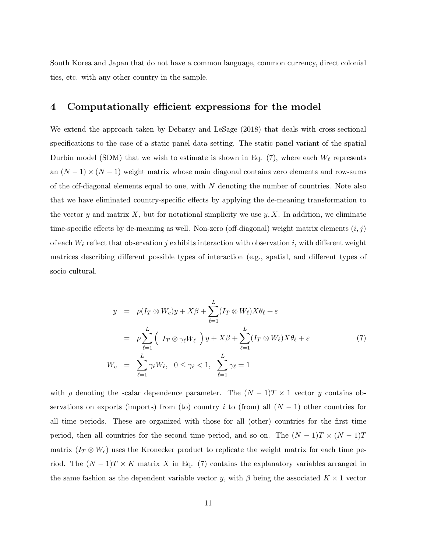South Korea and Japan that do not have a common language, common currency, direct colonial ties, etc. with any other country in the sample.

## **4 Computationally efficient expressions for the model**

We extend the approach taken by Debarsy and LeSage (2018) that deals with cross-sectional specifications to the case of a static panel data setting. The static panel variant of the spatial Durbin model (SDM) that we wish to estimate is shown in Eq.  $(7)$ , where each  $W_{\ell}$  represents an  $(N-1) \times (N-1)$  weight matrix whose main diagonal contains zero elements and row-sums of the off-diagonal elements equal to one, with  $N$  denoting the number of countries. Note also that we have eliminated country-specific effects by applying the de-meaning transformation to the vector y and matrix X, but for notational simplicity we use  $y, X$ . In addition, we eliminate time-specific effects by de-meaning as well. Non-zero (off-diagonal) weight matrix elements  $(i, j)$ of each  $W_{\ell}$  reflect that observation j exhibits interaction with observation i, with different weight matrices describing different possible types of interaction (e.g., spatial, and different types of socio-cultural.

$$
y = \rho(I_T \otimes W_c)y + X\beta + \sum_{\ell=1}^{L} (I_T \otimes W_{\ell})X\theta_{\ell} + \varepsilon
$$
  
\n
$$
= \rho \sum_{\ell=1}^{L} \left( I_T \otimes \gamma_{\ell}W_{\ell} \right) y + X\beta + \sum_{\ell=1}^{L} (I_T \otimes W_{\ell})X\theta_{\ell} + \varepsilon
$$
  
\n
$$
W_c = \sum_{\ell=1}^{L} \gamma_{\ell}W_{\ell}, \quad 0 \le \gamma_{\ell} < 1, \quad \sum_{\ell=1}^{L} \gamma_{\ell} = 1
$$
 (7)

with  $\rho$  denoting the scalar dependence parameter. The  $(N-1)T \times 1$  vector y contains observations on exports (imports) from (to) country i to (from) all  $(N - 1)$  other countries for all time periods. These are organized with those for all (other) countries for the first time period, then all countries for the second time period, and so on. The  $(N-1)T \times (N-1)T$ matrix  $(I_T \otimes W_c)$  uses the Kronecker product to replicate the weight matrix for each time period. The  $(N-1)T \times K$  matrix X in Eq. (7) contains the explanatory variables arranged in the same fashion as the dependent variable vector y, with  $\beta$  being the associated  $K \times 1$  vector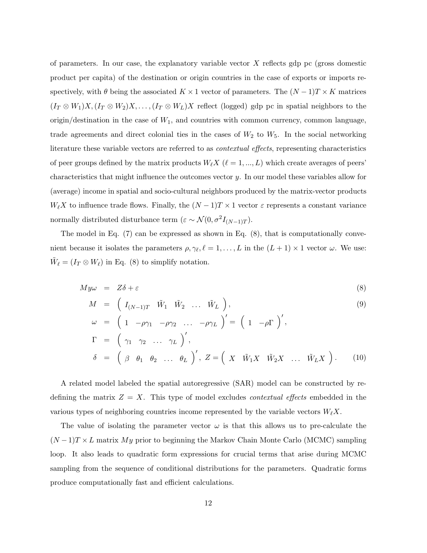of parameters. In our case, the explanatory variable vector  $X$  reflects gdp pc (gross domestic product per capita) of the destination or origin countries in the case of exports or imports respectively, with  $\theta$  being the associated  $K \times 1$  vector of parameters. The  $(N-1)T \times K$  matrices  $(I_T \otimes W_1)X, (I_T \otimes W_2)X, \ldots, (I_T \otimes W_L)X$  reflect (logged) gdp pc in spatial neighbors to the origin/destination in the case of  $W_1$ , and countries with common currency, common language, trade agreements and direct colonial ties in the cases of  $W_2$  to  $W_5$ . In the social networking literature these variable vectors are referred to as *contextual effects*, representing characteristics of peer groups defined by the matrix products  $W_{\ell}X$  ( $\ell = 1, ..., L$ ) which create averages of peers' characteristics that might influence the outcomes vector y. In our model these variables allow for (average) income in spatial and socio-cultural neighbors produced by the matrix-vector products  $W_{\ell}X$  to influence trade flows. Finally, the  $(N-1)T \times 1$  vector  $\varepsilon$  represents a constant variance normally distributed disturbance term ( $\varepsilon \sim \mathcal{N}(0, \sigma^2 I_{(N-1)T})$ .

The model in Eq. (7) can be expressed as shown in Eq. (8), that is computationally convenient because it isolates the parameters  $\rho, \gamma_{\ell}, \ell = 1, \ldots, L$  in the  $(L + 1) \times 1$  vector  $\omega$ . We use:  $\tilde{W}_\ell = (I_T \otimes W_\ell)$  in Eq. (8) to simplify notation.

$$
My\omega = Z\delta + \varepsilon \tag{8}
$$

$$
M = \left( I_{(N-1)T} \tilde{W}_1 \tilde{W}_2 \dots \tilde{W}_L \right), \tag{9}
$$

$$
\omega = \left(1 - \rho \gamma_1 - \rho \gamma_2 \ldots - \rho \gamma_L\right)' = \left(1 - \rho \Gamma\right)',
$$
  
\n
$$
\Gamma = \left(\gamma_1 \gamma_2 \ldots \gamma_L\right)',
$$
  
\n
$$
\delta = \left(\beta \theta_1 \theta_2 \ldots \theta_L\right)', Z = \left(X \tilde{W}_1 X \tilde{W}_2 X \ldots \tilde{W}_L X\right).
$$
 (10)

A related model labeled the spatial autoregressive (SAR) model can be constructed by redefining the matrix  $Z = X$ . This type of model excludes *contextual effects* embedded in the various types of neighboring countries income represented by the variable vectors  $W_{\ell}X$ .

The value of isolating the parameter vector  $\omega$  is that this allows us to pre-calculate the  $(N-1)T \times L$  matrix My prior to beginning the Markov Chain Monte Carlo (MCMC) sampling loop. It also leads to quadratic form expressions for crucial terms that arise during MCMC sampling from the sequence of conditional distributions for the parameters. Quadratic forms produce computationally fast and efficient calculations.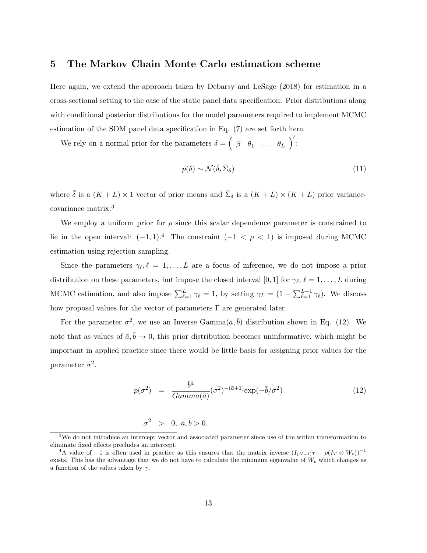## **5 The Markov Chain Monte Carlo estimation scheme**

Here again, we extend the approach taken by Debarsy and LeSage (2018) for estimation in a cross-sectional setting to the case of the static panel data specification. Prior distributions along with conditional posterior distributions for the model parameters required to implement MCMC estimation of the SDM panel data specification in Eq. (7) are set forth here.

We rely on a normal prior for the parameters  $\delta = \begin{pmatrix} \beta & \theta_1 & \dots & \theta_L \end{pmatrix}$  $\Big)$ :

$$
p(\delta) \sim \mathcal{N}(\bar{\delta}, \bar{\Sigma}_{\delta})
$$
 (11)

where  $\bar{\delta}$  is a  $(K+L) \times 1$  vector of prior means and  $\bar{\Sigma}_{\delta}$  is a  $(K+L) \times (K+L)$  prior variancecovariance matrix.<sup>3</sup>

We employ a uniform prior for  $\rho$  since this scalar dependence parameter is constrained to lie in the open interval:  $(-1, 1)$ .<sup>4</sup> The constraint  $(-1 < \rho < 1)$  is imposed during MCMC estimation using rejection sampling.

Since the parameters  $\gamma_{\ell}, \ell = 1, \ldots, L$  are a focus of inference, we do not impose a prior distribution on these parameters, but impose the closed interval [0, 1] for  $\gamma_{\ell}, \ell = 1, \ldots, L$  during MCMC estimation, and also impose  $\sum_{\ell=1}^{L}$  $L_{\ell=1}^{L} \gamma_{\ell} = 1$ , by setting  $\gamma_{L} = (1 - \sum_{\ell=1}^{L-1} \gamma_{\ell})$ . We discuss how proposal values for the vector of parameters  $\Gamma$  are generated later.

For the parameter  $\sigma^2$ , we use an Inverse Gamma $(\bar{a}, \bar{b})$  distribution shown in Eq. (12). We note that as values of  $\bar{a}, \bar{b} \to 0$ , this prior distribution becomes uninformative, which might be important in applied practice since there would be little basis for assigning prior values for the parameter  $\sigma^2$ .

$$
p(\sigma^2) = \frac{\bar{b}^{\bar{a}}}{Gamma(\bar{a})} (\sigma^2)^{-(\bar{a}+1)} \exp(-\bar{b}/\sigma^2)
$$
 (12)

$$
\sigma^2 \quad > \quad 0, \ \bar{a}, \bar{b} > 0.
$$

<sup>3</sup>We do not introduce an intercept vector and associated parameter since use of the within transformation to eliminate fixed effects precludes an intercept.

<sup>&</sup>lt;sup>4</sup>A value of −1 is often used in practice as this ensures that the matrix inverse  $(I_{(N-1)T} - \rho(I_T \otimes W_c))^{-1}$ exists. This has the advantage that we do not have to calculate the minimum eigenvalue of  $W_c$  which changes as a function of the values taken by  $\gamma$ .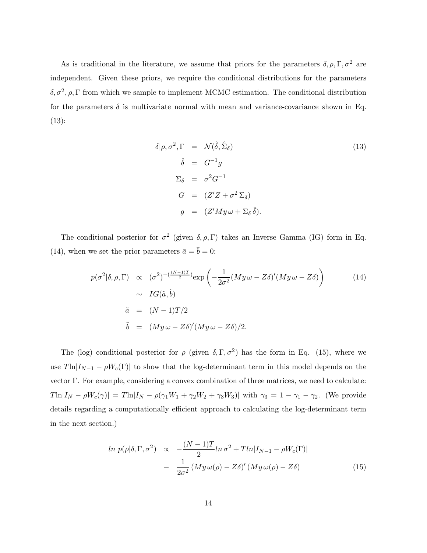As is traditional in the literature, we assume that priors for the parameters  $\delta, \rho, \Gamma, \sigma^2$  are independent. Given these priors, we require the conditional distributions for the parameters  $\delta, \sigma^2, \rho, \Gamma$  from which we sample to implement MCMC estimation. The conditional distribution for the parameters  $\delta$  is multivariate normal with mean and variance-covariance shown in Eq. (13):

$$
\delta|\rho, \sigma^2, \Gamma = \mathcal{N}(\hat{\delta}, \hat{\Sigma}_{\delta})
$$
\n
$$
\hat{\delta} = G^{-1}g
$$
\n
$$
\Sigma_{\delta} = \sigma^2 G^{-1}
$$
\n
$$
G = (Z'Z + \sigma^2 \Sigma_{\delta})
$$
\n
$$
g = (Z'My\omega + \Sigma_{\delta}\hat{\delta}).
$$
\n(13)

The conditional posterior for  $\sigma^2$  (given  $\delta, \rho, \Gamma$ ) takes an Inverse Gamma (IG) form in Eq. (14), when we set the prior parameters  $\bar{a} = \bar{b} = 0$ :

$$
p(\sigma^2|\delta, \rho, \Gamma) \propto (\sigma^2)^{-(\frac{(N-1)T}{2})} \exp\left(-\frac{1}{2\sigma^2} (My\omega - Z\delta)' (My\omega - Z\delta)\right)
$$
  
 
$$
\sim IG(\tilde{a}, \tilde{b})
$$
  
 
$$
\tilde{a} = (N-1)T/2
$$
  
 
$$
\tilde{b} = (My\omega - Z\delta)' (My\omega - Z\delta)/2.
$$
 (14)

The (log) conditional posterior for  $\rho$  (given  $\delta, \Gamma, \sigma^2$ ) has the form in Eq. (15), where we use  $T\ln|I_{N-1} - \rho W_c(\Gamma)|$  to show that the log-determinant term in this model depends on the vector Γ. For example, considering a convex combination of three matrices, we need to calculate:  $T\ln|I_N - \rho W_c(\gamma)| = T\ln|I_N - \rho(\gamma_1 W_1 + \gamma_2 W_2 + \gamma_3 W_3)|$  with  $\gamma_3 = 1 - \gamma_1 - \gamma_2$ . (We provide details regarding a computationally efficient approach to calculating the log-determinant term in the next section.)

$$
\ln p(\rho|\delta,\Gamma,\sigma^2) \propto -\frac{(N-1)T}{2}\ln \sigma^2 + T\ln|I_{N-1} - \rho W_c(\Gamma)|
$$

$$
- \frac{1}{2\sigma^2} \left(My\omega(\rho) - Z\delta\right)' \left(My\omega(\rho) - Z\delta\right) \tag{15}
$$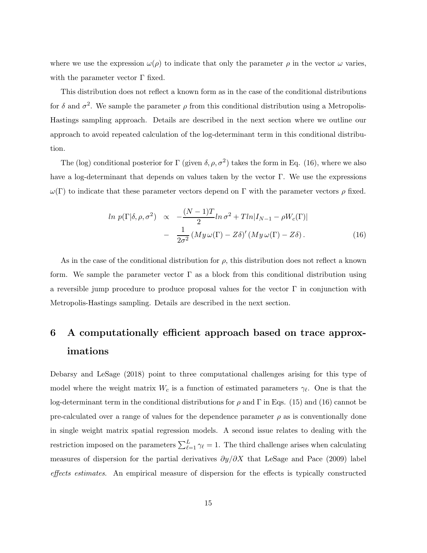where we use the expression  $\omega(\rho)$  to indicate that only the parameter  $\rho$  in the vector  $\omega$  varies, with the parameter vector  $\Gamma$  fixed.

This distribution does not reflect a known form as in the case of the conditional distributions for  $\delta$  and  $\sigma^2$ . We sample the parameter  $\rho$  from this conditional distribution using a Metropolis-Hastings sampling approach. Details are described in the next section where we outline our approach to avoid repeated calculation of the log-determinant term in this conditional distribution.

The (log) conditional posterior for Γ (given  $\delta$ ,  $\rho$ ,  $\sigma^2$ ) takes the form in Eq. (16), where we also have a log-determinant that depends on values taken by the vector Γ. We use the expressions  $ω(Γ)$  to indicate that these parameter vectors depend on Γ with the parameter vectors  $ρ$  fixed.

$$
\ln p(\Gamma|\delta, \rho, \sigma^2) \propto -\frac{(N-1)T}{2}\ln \sigma^2 + T\ln|I_{N-1} - \rho W_c(\Gamma)|
$$

$$
- \frac{1}{2\sigma^2} \left(My\omega(\Gamma) - Z\delta\right)' \left(My\omega(\Gamma) - Z\delta\right). \tag{16}
$$

As in the case of the conditional distribution for  $\rho$ , this distribution does not reflect a known form. We sample the parameter vector  $\Gamma$  as a block from this conditional distribution using a reversible jump procedure to produce proposal values for the vector  $\Gamma$  in conjunction with Metropolis-Hastings sampling. Details are described in the next section.

# **6 A computationally efficient approach based on trace approximations**

Debarsy and LeSage (2018) point to three computational challenges arising for this type of model where the weight matrix  $W_c$  is a function of estimated parameters  $\gamma_{\ell}$ . One is that the log-determinant term in the conditional distributions for  $\rho$  and  $\Gamma$  in Eqs. (15) and (16) cannot be pre-calculated over a range of values for the dependence parameter  $\rho$  as is conventionally done in single weight matrix spatial regression models. A second issue relates to dealing with the restriction imposed on the parameters  $\sum_{\ell=1}^{L}$  $\frac{L}{\ell-1}$   $\gamma_{\ell} = 1$ . The third challenge arises when calculating measures of dispersion for the partial derivatives  $\partial y/\partial X$  that LeSage and Pace (2009) label *effects estimates*. An empirical measure of dispersion for the effects is typically constructed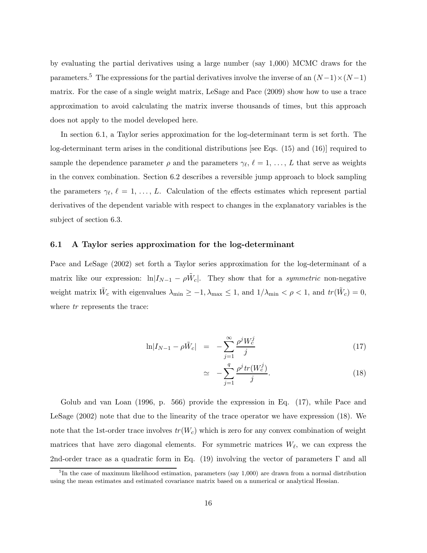by evaluating the partial derivatives using a large number (say 1,000) MCMC draws for the parameters.<sup>5</sup> The expressions for the partial derivatives involve the inverse of an  $(N-1)\times(N-1)$ matrix. For the case of a single weight matrix, LeSage and Pace (2009) show how to use a trace approximation to avoid calculating the matrix inverse thousands of times, but this approach does not apply to the model developed here.

In section 6.1, a Taylor series approximation for the log-determinant term is set forth. The log-determinant term arises in the conditional distributions [see Eqs. (15) and (16)] required to sample the dependence parameter  $\rho$  and the parameters  $\gamma_{\ell}, \ell = 1, \ldots, L$  that serve as weights in the convex combination. Section 6.2 describes a reversible jump approach to block sampling the parameters  $\gamma_{\ell}, \ell = 1, \ldots, L$ . Calculation of the effects estimates which represent partial derivatives of the dependent variable with respect to changes in the explanatory variables is the subject of section 6.3.

#### **6.1 A Taylor series approximation for the log-determinant**

Pace and LeSage (2002) set forth a Taylor series approximation for the log-determinant of a matrix like our expression:  $\ln |I_{N-1} - \rho \tilde{W}_c|$ . They show that for a *symmetric* non-negative weight matrix  $\tilde{W}_c$  with eigenvalues  $\lambda_{\min} \ge -1$ ,  $\lambda_{\max} \le 1$ , and  $1/\lambda_{\min} < \rho < 1$ , and  $tr(\tilde{W}_c) = 0$ , where  $tr$  represents the trace:

$$
\ln|I_{N-1} - \rho \tilde{W}_c| = -\sum_{j=1}^{\infty} \frac{\rho^j W_c^j}{j}
$$
 (17)

$$
\simeq -\sum_{j=1}^{q} \frac{\rho^j \operatorname{tr}(W_c^j)}{j}.\tag{18}
$$

Golub and van Loan (1996, p. 566) provide the expression in Eq. (17), while Pace and LeSage (2002) note that due to the linearity of the trace operator we have expression (18). We note that the 1st-order trace involves  $tr(W_c)$  which is zero for any convex combination of weight matrices that have zero diagonal elements. For symmetric matrices  $W_{\ell}$ , we can express the 2nd-order trace as a quadratic form in Eq. (19) involving the vector of parameters Γ and all

<sup>&</sup>lt;sup>5</sup>In the case of maximum likelihood estimation, parameters (say 1,000) are drawn from a normal distribution using the mean estimates and estimated covariance matrix based on a numerical or analytical Hessian.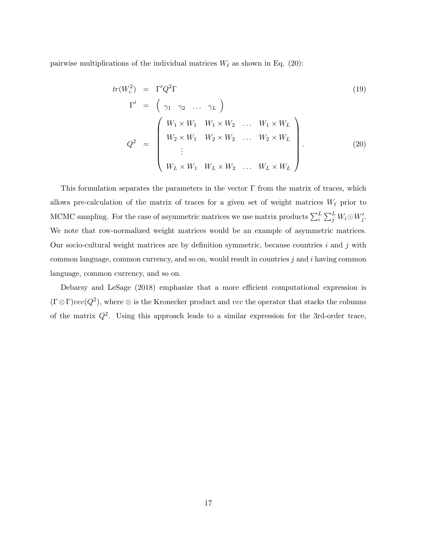pairwise multiplications of the individual matrices  $W_{\ell}$  as shown in Eq. (20):

$$
tr(W_c^2) = \Gamma' Q^2 \Gamma
$$
\n
$$
\Gamma' = \begin{pmatrix} \gamma_1 & \gamma_2 & \dots & \gamma_L \end{pmatrix}
$$
\n
$$
Q^2 = \begin{pmatrix} W_1 \times W_1 & W_1 \times W_2 & \dots & W_1 \times W_L \\ W_2 \times W_1 & W_2 \times W_2 & \dots & W_2 \times W_L \\ \vdots & & & & \\ W_L \times W_1 & W_L \times W_2 & \dots & W_L \times W_L \end{pmatrix}.
$$
\n(19)

This formulation separates the parameters in the vector  $\Gamma$  from the matrix of traces, which allows pre-calculation of the matrix of traces for a given set of weight matrices  $W_{\ell}$  prior to MCMC sampling. For the case of asymmetric matrices we use matrix products  $\sum_{i}^{L}$  $_{i}^{L}\sum_{j}^{L}W_{i}\odot W_{j}^{\prime}.$ We note that row-normalized weight matrices would be an example of asymmetric matrices. Our socio-cultural weight matrices are by definition symmetric, because countries  $i$  and  $j$  with common language, common currency, and so on, would result in countries j and i having common language, common currency, and so on.

Debarsy and LeSage (2018) emphasize that a more efficient computational expression is  $(\Gamma \otimes \Gamma)vec(Q^2)$ , where  $\otimes$  is the Kronecker product and vec the operator that stacks the columns of the matrix  $Q^2$ . Using this approach leads to a similar expression for the 3rd-order trace,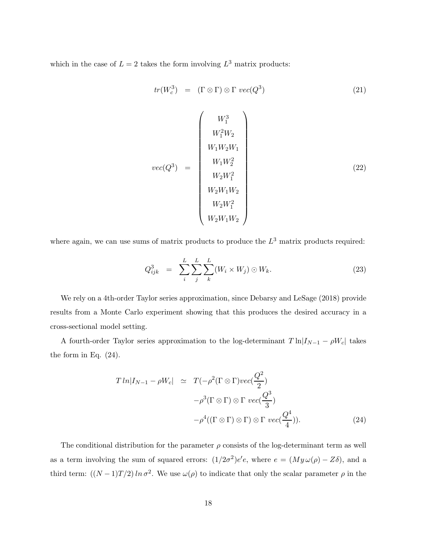which in the case of  $L = 2$  takes the form involving  $L^3$  matrix products:

$$
tr(W_c^3) = (\Gamma \otimes \Gamma) \otimes \Gamma vec(Q^3)
$$
 (21)

$$
vec(Q^3) = \begin{pmatrix} W_1^3 \\ W_1^2 W_2 \\ W_1 W_2 W_1 \\ W_1 W_2^2 \\ W_2 W_1^2 \\ W_2 W_1 W_2 \\ W_2 W_1^2 \\ W_2 W_1 W_2 \\ W_2 W_1 W_2 \end{pmatrix}
$$
 (22)

where again, we can use sums of matrix products to produce the  $L^3$  matrix products required:

$$
Q_{ijk}^3 = \sum_{i}^{L} \sum_{j}^{L} \sum_{k}^{L} (W_i \times W_j) \odot W_k. \tag{23}
$$

We rely on a 4th-order Taylor series approximation, since Debarsy and LeSage (2018) provide results from a Monte Carlo experiment showing that this produces the desired accuracy in a cross-sectional model setting.

A fourth-order Taylor series approximation to the log-determinant  $T \ln |I_{N-1} - \rho W_c|$  takes the form in Eq. (24).

$$
T \ln |I_{N-1} - \rho W_c| \simeq T(-\rho^2 (\Gamma \otimes \Gamma) vec(\frac{Q^2}{2})
$$

$$
-\rho^3 (\Gamma \otimes \Gamma) \otimes \Gamma vec(\frac{Q^3}{3})
$$

$$
-\rho^4 ((\Gamma \otimes \Gamma) \otimes \Gamma) \otimes \Gamma vec(\frac{Q^4}{4})). \tag{24}
$$

The conditional distribution for the parameter  $\rho$  consists of the log-determinant term as well as a term involving the sum of squared errors:  $(1/2\sigma^2)e^{\prime}e$ , where  $e = (My\omega(\rho) - Z\delta)$ , and a third term:  $((N-1)T/2) \ln \sigma^2$ . We use  $\omega(\rho)$  to indicate that only the scalar parameter  $\rho$  in the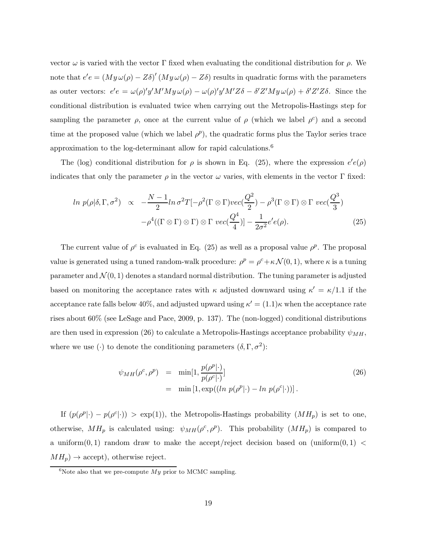vector  $ω$  is varied with the vector Γ fixed when evaluating the conditional distribution for  $ρ$ . We note that  $e'e = (My\omega(\rho) - Z\delta)'(My\omega(\rho) - Z\delta)$  results in quadratic forms with the parameters as outer vectors:  $e'e = \omega(\rho)'y'M'My \omega(\rho) - \omega(\rho)'y'M'Z\delta - \delta'Z'My \omega(\rho) + \delta'Z'Z\delta$ . Since the conditional distribution is evaluated twice when carrying out the Metropolis-Hastings step for sampling the parameter  $\rho$ , once at the current value of  $\rho$  (which we label  $\rho^c$ ) and a second time at the proposed value (which we label  $\rho^p$ ), the quadratic forms plus the Taylor series trace approximation to the log-determinant allow for rapid calculations.<sup>6</sup>

The (log) conditional distribution for  $\rho$  is shown in Eq. (25), where the expression  $e'e(\rho)$ indicates that only the parameter  $\rho$  in the vector  $\omega$  varies, with elements in the vector  $\Gamma$  fixed:

$$
\ln p(\rho|\delta,\Gamma,\sigma^2) \propto -\frac{N-1}{2}\ln \sigma^2 T[-\rho^2(\Gamma \otimes \Gamma)vec(\frac{Q^2}{2}) - \rho^3(\Gamma \otimes \Gamma) \otimes \Gamma vec(\frac{Q^3}{3})
$$

$$
-\rho^4((\Gamma \otimes \Gamma) \otimes \Gamma) \otimes \Gamma vec(\frac{Q^4}{4})] - \frac{1}{2\sigma^2}e'e(\rho). \tag{25}
$$

The current value of  $\rho^c$  is evaluated in Eq. (25) as well as a proposal value  $\rho^p$ . The proposal value is generated using a tuned random-walk procedure:  $\rho^p = \rho^c + \kappa \mathcal{N}(0, 1)$ , where  $\kappa$  is a tuning parameter and  $\mathcal{N}(0, 1)$  denotes a standard normal distribution. The tuning parameter is adjusted based on monitoring the acceptance rates with  $\kappa$  adjusted downward using  $\kappa' = \kappa/1.1$  if the acceptance rate falls below 40%, and adjusted upward using  $\kappa' = (1.1)\kappa$  when the acceptance rate rises about 60% (see LeSage and Pace, 2009, p. 137). The (non-logged) conditional distributions are then used in expression (26) to calculate a Metropolis-Hastings acceptance probability  $\psi_{MH}$ , where we use (·) to denote the conditioning parameters  $(\delta, \Gamma, \sigma^2)$ :

$$
\psi_{MH}(\rho^c, \rho^p) = \min[1, \frac{p(\rho^p|\cdot)}{p(\rho^c|\cdot)}]
$$
  
= 
$$
\min[1, \exp((\ln p(\rho^p|\cdot) - \ln p(\rho^c|\cdot)))).
$$
 (26)

If  $(p(\rho^p|\cdot) - p(\rho^c|\cdot)) > \exp(1)$ , the Metropolis-Hastings probability  $(MH_p)$  is set to one, otherwise,  $MH_p$  is calculated using:  $\psi_{MH}(\rho^c, \rho^p)$ . This probability  $(MH_p)$  is compared to a uniform $(0, 1)$  random draw to make the accept/reject decision based on (uniform $(0, 1)$ )  $MH_p$ )  $\rightarrow$  accept), otherwise reject.

 $6N$ ote also that we pre-compute  $My$  prior to MCMC sampling.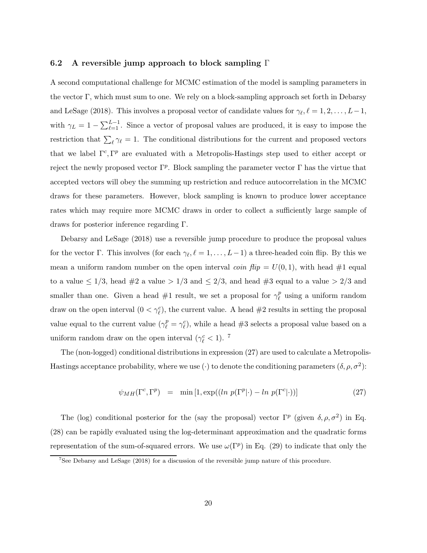#### **6.2 A reversible jump approach to block sampling** Γ

A second computational challenge for MCMC estimation of the model is sampling parameters in the vector  $\Gamma$ , which must sum to one. We rely on a block-sampling approach set forth in Debarsy and LeSage (2018). This involves a proposal vector of candidate values for  $\gamma_{\ell}, \ell = 1, 2, \ldots, L-1$ , with  $\gamma_L = 1 - \sum_{\ell=1}^{L-1}$ . Since a vector of proposal values are produced, it is easy to impose the restriction that  $\sum_{\ell} \gamma_{\ell} = 1$ . The conditional distributions for the current and proposed vectors that we label  $\Gamma^c$ , Γ<sup>p</sup> are evaluated with a Metropolis-Hastings step used to either accept or reject the newly proposed vector  $\Gamma^p$ . Block sampling the parameter vector  $\Gamma$  has the virtue that accepted vectors will obey the summing up restriction and reduce autocorrelation in the MCMC draws for these parameters. However, block sampling is known to produce lower acceptance rates which may require more MCMC draws in order to collect a sufficiently large sample of draws for posterior inference regarding Γ.

Debarsy and LeSage (2018) use a reversible jump procedure to produce the proposal values for the vector  $\Gamma$ . This involves (for each  $\gamma_{\ell}, \ell = 1, \ldots, L-1$ ) a three-headed coin flip. By this we mean a uniform random number on the open interval *coin flip* =  $U(0, 1)$ , with head  $\#1$  equal to a value  $\leq 1/3$ , head  $\#2$  a value  $> 1/3$  and  $\leq 2/3$ , and head  $\#3$  equal to a value  $> 2/3$  and smaller than one. Given a head  $#1$  result, we set a proposal for  $\gamma_\ell^p$  using a uniform random draw on the open interval  $(0 < \gamma_{\ell}^c)$ , the current value. A head #2 results in setting the proposal value equal to the current value  $(\gamma_{\ell}^p = \gamma_{\ell}^c)$ , while a head #3 selects a proposal value based on a uniform random draw on the open interval ( $\gamma_{\ell}^{c} < 1$ ).<sup>7</sup>

The (non-logged) conditional distributions in expression (27) are used to calculate a Metropolis-Hastings acceptance probability, where we use (·) to denote the conditioning parameters  $(\delta, \rho, \sigma^2)$ :

$$
\psi_{MH}(\Gamma^c, \Gamma^p) = \min[1, \exp((\ln p(\Gamma^p|\cdot) - \ln p(\Gamma^c|\cdot)))] \tag{27}
$$

The (log) conditional posterior for the (say the proposal) vector  $\Gamma^p$  (given  $\delta, \rho, \sigma^2$ ) in Eq. (28) can be rapidly evaluated using the log-determinant approximation and the quadratic forms representation of the sum-of-squared errors. We use  $\omega(\Gamma^p)$  in Eq. (29) to indicate that only the

<sup>&</sup>lt;sup>7</sup>See Debarsy and LeSage (2018) for a discussion of the reversible jump nature of this procedure.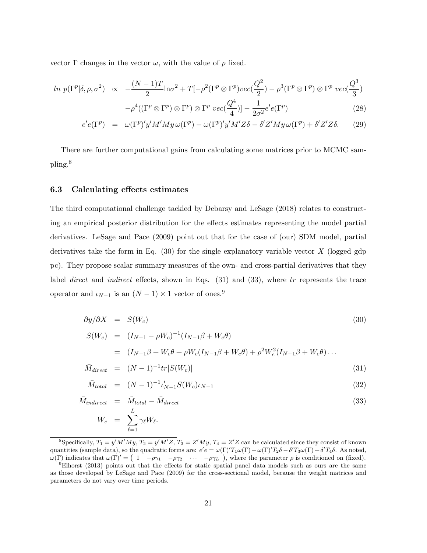vector Γ changes in the vector  $ω$ , with the value of  $ρ$  fixed.

$$
\ln p(\Gamma^{p}|\delta, \rho, \sigma^{2}) \propto -\frac{(N-1)T}{2} \ln \sigma^{2} + T[-\rho^{2}(\Gamma^{p} \otimes \Gamma^{p})vec(\frac{Q^{2}}{2}) - \rho^{3}(\Gamma^{p} \otimes \Gamma^{p}) \otimes \Gamma^{p} vec(\frac{Q^{3}}{3}) -\rho^{4}((\Gamma^{p} \otimes \Gamma^{p}) \otimes \Gamma^{p}) \otimes \Gamma^{p} vec(\frac{Q^{4}}{4})] - \frac{1}{2\sigma^{2}} e^{\prime} e(\Gamma^{p})
$$
\n
$$
\frac{\langle \Gamma^{p} \rangle}{\langle \Gamma^{p} \rangle} \sim \frac{\langle \Gamma^{p} \rangle}{\langle \Gamma^{p} \rangle} \sim \frac{\langle \Gamma^{p} \rangle}{\langle \Gamma^{p} \rangle} \sim \frac{\langle \Gamma^{p} \rangle}{\langle \Gamma^{p} \rangle} \sim \frac{\langle \Gamma^{p} \rangle}{\langle \Gamma^{p} \rangle} \sim \frac{\langle \Gamma^{p} \rangle}{\langle \Gamma^{p} \rangle} \sim \frac{\langle \Gamma^{p} \rangle}{\langle \Gamma^{p} \rangle} \sim \frac{\langle \Gamma^{p} \rangle}{\langle \Gamma^{p} \rangle} \sim \frac{\langle \Gamma^{p} \rangle}{\langle \Gamma^{p} \rangle} \sim \frac{\langle \Gamma^{p} \rangle}{\langle \Gamma^{p} \rangle} \sim \frac{\langle \Gamma^{p} \rangle}{\langle \Gamma^{p} \rangle} \sim \frac{\langle \Gamma^{p} \rangle}{\langle \Gamma^{p} \rangle} \sim \frac{\langle \Gamma^{p} \rangle}{\langle \Gamma^{p} \rangle} \sim \frac{\langle \Gamma^{p} \rangle}{\langle \Gamma^{p} \rangle} \sim \frac{\langle \Gamma^{p} \rangle}{\langle \Gamma^{p} \rangle} \sim \frac{\langle \Gamma^{p} \rangle}{\langle \Gamma^{p} \rangle} \sim \frac{\langle \Gamma^{p} \rangle}{\langle \Gamma^{p} \rangle} \sim \frac{\langle \Gamma^{p} \rangle}{\langle \Gamma^{p} \rangle} \sim \frac{\langle \Gamma^{p} \rangle}{\langle \Gamma^{p} \rangle} \sim \frac{\langle \Gamma^{p} \rangle}{\langle \Gamma^{p} \rangle} \sim \frac{\langle \Gamma^{p} \rangle}{\langle \Gamma^{p} \rangle} \sim \frac{\langle \Gamma^{p} \rangle}{\langle \Gamma^{p} \rangle} \sim \frac{\langle \Gamma^{p} \rangle}{\langle \Gamma^{p} \rangle} \sim \frac{\langle \Gamma^{p} \rangle}{\langle \Gamma^{
$$

$$
e'e(\Gamma^p) = \omega(\Gamma^p)'y'M'My\,\omega(\Gamma^p) - \omega(\Gamma^p)'y'M'Z\delta - \delta'Z'My\,\omega(\Gamma^p) + \delta'Z'Z\delta. \tag{29}
$$

There are further computational gains from calculating some matrices prior to MCMC sampling.<sup>8</sup>

#### **6.3 Calculating effects estimates**

The third computational challenge tackled by Debarsy and LeSage (2018) relates to constructing an empirical posterior distribution for the effects estimates representing the model partial derivatives. LeSage and Pace (2009) point out that for the case of (our) SDM model, partial derivatives take the form in Eq.  $(30)$  for the single explanatory variable vector X (logged gdp pc). They propose scalar summary measures of the own- and cross-partial derivatives that they label *direct* and *indirect* effects, shown in Eqs. (31) and (33), where tr represents the trace operator and  $\iota_{N-1}$  is an  $(N-1) \times 1$  vector of ones.<sup>9</sup>

$$
\frac{\partial y}{\partial X} = S(W_c) \tag{30}
$$

$$
S(W_c) = (I_{N-1} - \rho W_c)^{-1} (I_{N-1}\beta + W_c\theta)
$$
  
=  $(I_{N-1}\beta + W_c\theta + \rho W_c (I_{N-1}\beta + W_c\theta) + \rho^2 W_c^2 (I_{N-1}\beta + W_c\theta) \dots$   
 $\bar{M}_{N-1} = (N-1)^{-1} tr[S(W)]$  (31)

$$
\bar{M}_{direct} = (N-1)^{-1} tr[S(W_c)] \tag{31}
$$

$$
\bar{M}_{total} = (N-1)^{-1} \iota'_{N-1} S(W_c) \iota_{N-1}
$$
\n(32)

$$
\bar{M}_{indirect} = \bar{M}_{total} - \bar{M}_{direct}
$$
\n
$$
W_c = \sum_{\ell=1}^{L} \gamma_{\ell} W_{\ell}.
$$
\n(33)

<sup>&</sup>lt;sup>8</sup>Specifically,  $T_1 = y'M'M'$ ,  $T_2 = y'M'Z$ ,  $T_3 = Z'My$ ,  $T_4 = Z'Z$  can be calculated since they consist of known quantities (sample data), so the quadratic forms are:  $e'e = \omega(\Gamma)'T_1\omega(\Gamma) - \omega(\Gamma)'T_2\delta - \delta'T_3\omega(\Gamma) + \delta'T_4\delta$ . As noted,  $\omega(\Gamma)$  indicates that  $\omega(\Gamma)' = \begin{pmatrix} 1 & -\rho \gamma_1 & -\rho \gamma_2 & \cdots & -\rho \gamma_L \end{pmatrix}$ , where the parameter  $\rho$  is conditioned on (fixed).

<sup>9</sup>Elhorst (2013) points out that the effects for static spatial panel data models such as ours are the same as those developed by LeSage and Pace (2009) for the cross-sectional model, because the weight matrices and parameters do not vary over time periods.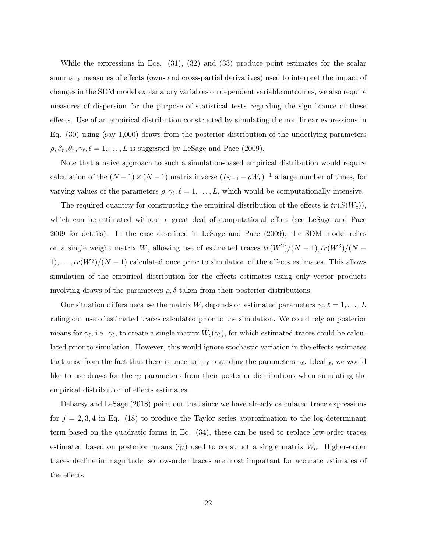While the expressions in Eqs. (31), (32) and (33) produce point estimates for the scalar summary measures of effects (own- and cross-partial derivatives) used to interpret the impact of changes in the SDM model explanatory variables on dependent variable outcomes, we also require measures of dispersion for the purpose of statistical tests regarding the significance of these effects. Use of an empirical distribution constructed by simulating the non-linear expressions in Eq. (30) using (say 1,000) draws from the posterior distribution of the underlying parameters  $\rho, \beta_r, \theta_r, \gamma_{\ell}, \ell = 1, \ldots, L$  is suggested by LeSage and Pace (2009),

Note that a naive approach to such a simulation-based empirical distribution would require calculation of the  $(N-1) \times (N-1)$  matrix inverse  $(I_{N-1} - \rho W_c)^{-1}$  a large number of times, for varying values of the parameters  $\rho, \gamma_{\ell}, \ell = 1, \ldots, L$ , which would be computationally intensive.

The required quantity for constructing the empirical distribution of the effects is  $tr(S(W_c))$ , which can be estimated without a great deal of computational effort (see LeSage and Pace 2009 for details). In the case described in LeSage and Pace (2009), the SDM model relies on a single weight matrix W, allowing use of estimated traces  $tr(W^2)/(N-1)$ ,  $tr(W^3)/(N-1)$  $1), \ldots, tr(W^q)/(N-1)$  calculated once prior to simulation of the effects estimates. This allows simulation of the empirical distribution for the effects estimates using only vector products involving draws of the parameters  $\rho, \delta$  taken from their posterior distributions.

Our situation differs because the matrix  $W_c$  depends on estimated parameters  $\gamma_{\ell}, \ell = 1, \ldots, L$ ruling out use of estimated traces calculated prior to the simulation. We could rely on posterior means for  $\gamma_{\ell}$ , i.e.  $\bar{\gamma}_{\ell}$ , to create a single matrix  $\hat{W}_{c}(\bar{\gamma}_{\ell})$ , for which estimated traces could be calculated prior to simulation. However, this would ignore stochastic variation in the effects estimates that arise from the fact that there is uncertainty regarding the parameters  $\gamma_{\ell}$ . Ideally, we would like to use draws for the  $\gamma_{\ell}$  parameters from their posterior distributions when simulating the empirical distribution of effects estimates.

Debarsy and LeSage (2018) point out that since we have already calculated trace expressions for  $j = 2, 3, 4$  in Eq. (18) to produce the Taylor series approximation to the log-determinant term based on the quadratic forms in Eq. (34), these can be used to replace low-order traces estimated based on posterior means  $(\bar{\gamma}_{\ell})$  used to construct a single matrix  $W_c$ . Higher-order traces decline in magnitude, so low-order traces are most important for accurate estimates of the effects.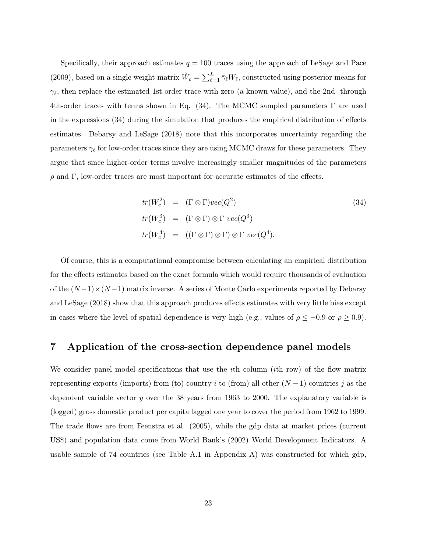Specifically, their approach estimates  $q = 100$  traces using the approach of LeSage and Pace (2009), based on a single weight matrix  $\hat{W}_c = \sum_{\ell=1}^{L}$  $\frac{L}{\ell-1} \bar{\gamma}_{\ell} W_{\ell}$ , constructed using posterior means for  $\gamma_{\ell}$ , then replace the estimated 1st-order trace with zero (a known value), and the 2nd- through 4th-order traces with terms shown in Eq. (34). The MCMC sampled parameters  $\Gamma$  are used in the expressions (34) during the simulation that produces the empirical distribution of effects estimates. Debarsy and LeSage (2018) note that this incorporates uncertainty regarding the parameters  $\gamma_{\ell}$  for low-order traces since they are using MCMC draws for these parameters. They argue that since higher-order terms involve increasingly smaller magnitudes of the parameters  $ρ$  and Γ, low-order traces are most important for accurate estimates of the effects.

$$
tr(W_c^2) = (\Gamma \otimes \Gamma)vec(Q^2)
$$
  
\n
$$
tr(W_c^3) = (\Gamma \otimes \Gamma) \otimes \Gamma vec(Q^3)
$$
  
\n
$$
tr(W_c^4) = ((\Gamma \otimes \Gamma) \otimes \Gamma) \otimes \Gamma vec(Q^4).
$$
\n(34)

Of course, this is a computational compromise between calculating an empirical distribution for the effects estimates based on the exact formula which would require thousands of evaluation of the  $(N-1)\times(N-1)$  matrix inverse. A series of Monte Carlo experiments reported by Debarsy and LeSage (2018) show that this approach produces effects estimates with very little bias except in cases where the level of spatial dependence is very high (e.g., values of  $\rho \leq -0.9$  or  $\rho \geq 0.9$ ).

# **7 Application of the cross-section dependence panel models**

We consider panel model specifications that use the *i*th column *(ith row)* of the flow matrix representing exports (imports) from (to) country i to (from) all other  $(N-1)$  countries j as the dependent variable vector y over the 38 years from 1963 to 2000. The explanatory variable is (logged) gross domestic product per capita lagged one year to cover the period from 1962 to 1999. The trade flows are from Feenstra et al. (2005), while the gdp data at market prices (current US\$) and population data come from World Bank's (2002) World Development Indicators. A usable sample of 74 countries (see Table A.1 in Appendix A) was constructed for which gdp,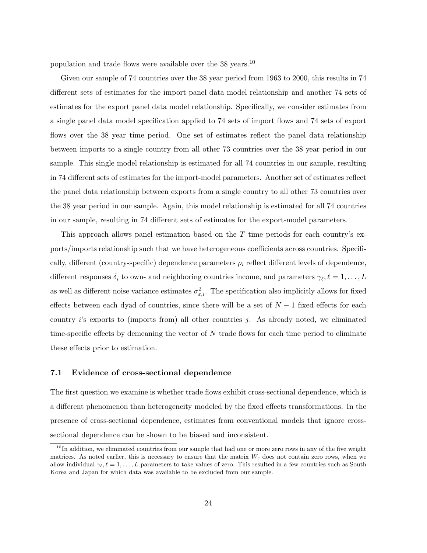population and trade flows were available over the 38 years.<sup>10</sup>

Given our sample of 74 countries over the 38 year period from 1963 to 2000, this results in 74 different sets of estimates for the import panel data model relationship and another 74 sets of estimates for the export panel data model relationship. Specifically, we consider estimates from a single panel data model specification applied to 74 sets of import flows and 74 sets of export flows over the 38 year time period. One set of estimates reflect the panel data relationship between imports to a single country from all other 73 countries over the 38 year period in our sample. This single model relationship is estimated for all 74 countries in our sample, resulting in 74 different sets of estimates for the import-model parameters. Another set of estimates reflect the panel data relationship between exports from a single country to all other 73 countries over the 38 year period in our sample. Again, this model relationship is estimated for all 74 countries in our sample, resulting in 74 different sets of estimates for the export-model parameters.

This approach allows panel estimation based on the  $T$  time periods for each country's exports/imports relationship such that we have heterogeneous coefficients across countries. Specifically, different (country-specific) dependence parameters  $\rho_i$  reflect different levels of dependence, different responses  $\delta_i$  to own- and neighboring countries income, and parameters  $\gamma_{\ell}, \ell = 1, \ldots, L$ as well as different noise variance estimates  $\sigma_{\varepsilon,i}^2$ . The specification also implicitly allows for fixed effects between each dyad of countries, since there will be a set of  $N-1$  fixed effects for each country i's exports to (imports from) all other countries j. As already noted, we eliminated time-specific effects by demeaning the vector of  $N$  trade flows for each time period to eliminate these effects prior to estimation.

#### **7.1 Evidence of cross-sectional dependence**

The first question we examine is whether trade flows exhibit cross-sectional dependence, which is a different phenomenon than heterogeneity modeled by the fixed effects transformations. In the presence of cross-sectional dependence, estimates from conventional models that ignore crosssectional dependence can be shown to be biased and inconsistent.

<sup>&</sup>lt;sup>10</sup>In addition, we eliminated countries from our sample that had one or more zero rows in any of the five weight matrices. As noted earlier, this is necessary to ensure that the matrix  $W_c$  does not contain zero rows, when we allow individual  $\gamma_\ell, \ell = 1, \ldots, L$  parameters to take values of zero. This resulted in a few countries such as South Korea and Japan for which data was available to be excluded from our sample.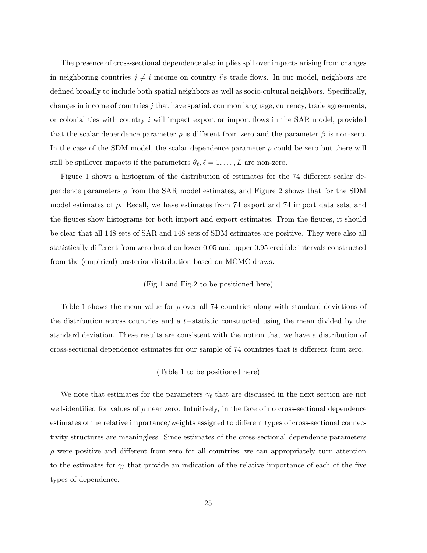The presence of cross-sectional dependence also implies spillover impacts arising from changes in neighboring countries  $j \neq i$  income on country *i*'s trade flows. In our model, neighbors are defined broadly to include both spatial neighbors as well as socio-cultural neighbors. Specifically, changes in income of countries  $j$  that have spatial, common language, currency, trade agreements, or colonial ties with country i will impact export or import flows in the SAR model, provided that the scalar dependence parameter  $\rho$  is different from zero and the parameter  $\beta$  is non-zero. In the case of the SDM model, the scalar dependence parameter  $\rho$  could be zero but there will still be spillover impacts if the parameters  $\theta_{\ell}, \ell = 1, \ldots, L$  are non-zero.

Figure 1 shows a histogram of the distribution of estimates for the 74 different scalar dependence parameters  $\rho$  from the SAR model estimates, and Figure 2 shows that for the SDM model estimates of  $\rho$ . Recall, we have estimates from 74 export and 74 import data sets, and the figures show histograms for both import and export estimates. From the figures, it should be clear that all 148 sets of SAR and 148 sets of SDM estimates are positive. They were also all statistically different from zero based on lower 0.05 and upper 0.95 credible intervals constructed from the (empirical) posterior distribution based on MCMC draws.

#### (Fig.1 and Fig.2 to be positioned here)

Table 1 shows the mean value for  $\rho$  over all 74 countries along with standard deviations of the distribution across countries and a t−statistic constructed using the mean divided by the standard deviation. These results are consistent with the notion that we have a distribution of cross-sectional dependence estimates for our sample of 74 countries that is different from zero.

#### (Table 1 to be positioned here)

We note that estimates for the parameters  $\gamma_{\ell}$  that are discussed in the next section are not well-identified for values of  $\rho$  near zero. Intuitively, in the face of no cross-sectional dependence estimates of the relative importance/weights assigned to different types of cross-sectional connectivity structures are meaningless. Since estimates of the cross-sectional dependence parameters  $\rho$  were positive and different from zero for all countries, we can appropriately turn attention to the estimates for  $\gamma_{\ell}$  that provide an indication of the relative importance of each of the five types of dependence.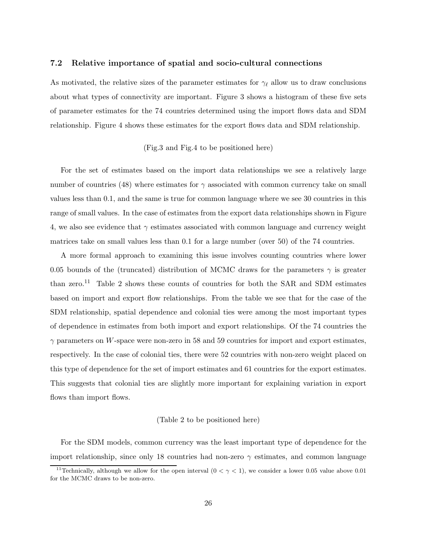#### **7.2 Relative importance of spatial and socio-cultural connections**

As motivated, the relative sizes of the parameter estimates for  $\gamma_{\ell}$  allow us to draw conclusions about what types of connectivity are important. Figure 3 shows a histogram of these five sets of parameter estimates for the 74 countries determined using the import flows data and SDM relationship. Figure 4 shows these estimates for the export flows data and SDM relationship.

### (Fig.3 and Fig.4 to be positioned here)

For the set of estimates based on the import data relationships we see a relatively large number of countries (48) where estimates for  $\gamma$  associated with common currency take on small values less than 0.1, and the same is true for common language where we see 30 countries in this range of small values. In the case of estimates from the export data relationships shown in Figure 4, we also see evidence that  $\gamma$  estimates associated with common language and currency weight matrices take on small values less than 0.1 for a large number (over 50) of the 74 countries.

A more formal approach to examining this issue involves counting countries where lower 0.05 bounds of the (truncated) distribution of MCMC draws for the parameters  $\gamma$  is greater than zero.<sup>11</sup> Table 2 shows these counts of countries for both the SAR and SDM estimates based on import and export flow relationships. From the table we see that for the case of the SDM relationship, spatial dependence and colonial ties were among the most important types of dependence in estimates from both import and export relationships. Of the 74 countries the  $\gamma$  parameters on W-space were non-zero in 58 and 59 countries for import and export estimates, respectively. In the case of colonial ties, there were 52 countries with non-zero weight placed on this type of dependence for the set of import estimates and 61 countries for the export estimates. This suggests that colonial ties are slightly more important for explaining variation in export flows than import flows.

#### (Table 2 to be positioned here)

For the SDM models, common currency was the least important type of dependence for the import relationship, since only 18 countries had non-zero  $\gamma$  estimates, and common language

<sup>&</sup>lt;sup>11</sup>Technically, although we allow for the open interval  $(0 < \gamma < 1)$ , we consider a lower 0.05 value above 0.01 for the MCMC draws to be non-zero.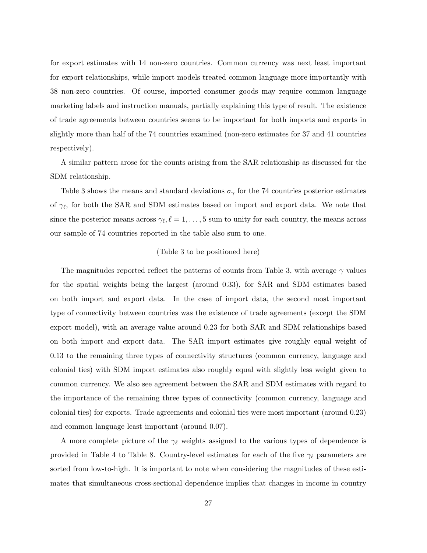for export estimates with 14 non-zero countries. Common currency was next least important for export relationships, while import models treated common language more importantly with 38 non-zero countries. Of course, imported consumer goods may require common language marketing labels and instruction manuals, partially explaining this type of result. The existence of trade agreements between countries seems to be important for both imports and exports in slightly more than half of the 74 countries examined (non-zero estimates for 37 and 41 countries respectively).

A similar pattern arose for the counts arising from the SAR relationship as discussed for the SDM relationship.

Table 3 shows the means and standard deviations  $\sigma_{\gamma}$  for the 74 countries posterior estimates of  $\gamma_{\ell}$ , for both the SAR and SDM estimates based on import and export data. We note that since the posterior means across  $\gamma_{\ell}, \ell = 1, \ldots, 5$  sum to unity for each country, the means across our sample of 74 countries reported in the table also sum to one.

#### (Table 3 to be positioned here)

The magnitudes reported reflect the patterns of counts from Table 3, with average  $\gamma$  values for the spatial weights being the largest (around 0.33), for SAR and SDM estimates based on both import and export data. In the case of import data, the second most important type of connectivity between countries was the existence of trade agreements (except the SDM export model), with an average value around 0.23 for both SAR and SDM relationships based on both import and export data. The SAR import estimates give roughly equal weight of 0.13 to the remaining three types of connectivity structures (common currency, language and colonial ties) with SDM import estimates also roughly equal with slightly less weight given to common currency. We also see agreement between the SAR and SDM estimates with regard to the importance of the remaining three types of connectivity (common currency, language and colonial ties) for exports. Trade agreements and colonial ties were most important (around 0.23) and common language least important (around 0.07).

A more complete picture of the  $\gamma_{\ell}$  weights assigned to the various types of dependence is provided in Table 4 to Table 8. Country-level estimates for each of the five  $\gamma_{\ell}$  parameters are sorted from low-to-high. It is important to note when considering the magnitudes of these estimates that simultaneous cross-sectional dependence implies that changes in income in country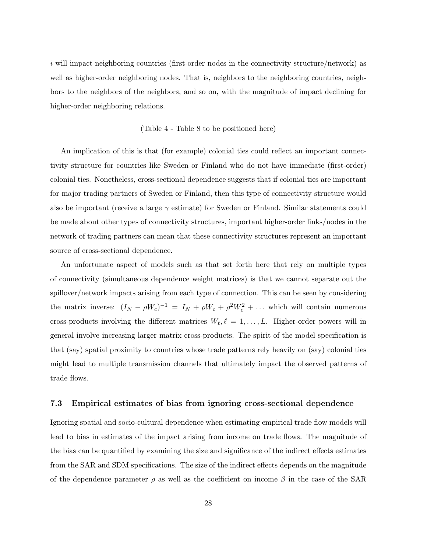i will impact neighboring countries (first-order nodes in the connectivity structure/network) as well as higher-order neighboring nodes. That is, neighbors to the neighboring countries, neighbors to the neighbors of the neighbors, and so on, with the magnitude of impact declining for higher-order neighboring relations.

#### (Table 4 - Table 8 to be positioned here)

An implication of this is that (for example) colonial ties could reflect an important connectivity structure for countries like Sweden or Finland who do not have immediate (first-order) colonial ties. Nonetheless, cross-sectional dependence suggests that if colonial ties are important for major trading partners of Sweden or Finland, then this type of connectivity structure would also be important (receive a large  $\gamma$  estimate) for Sweden or Finland. Similar statements could be made about other types of connectivity structures, important higher-order links/nodes in the network of trading partners can mean that these connectivity structures represent an important source of cross-sectional dependence.

An unfortunate aspect of models such as that set forth here that rely on multiple types of connectivity (simultaneous dependence weight matrices) is that we cannot separate out the spillover/network impacts arising from each type of connection. This can be seen by considering the matrix inverse:  $(I_N - \rho W_c)^{-1} = I_N + \rho W_c + \rho^2 W_c^2 + \dots$  which will contain numerous cross-products involving the different matrices  $W_{\ell}, \ell = 1, \ldots, L$ . Higher-order powers will in general involve increasing larger matrix cross-products. The spirit of the model specification is that (say) spatial proximity to countries whose trade patterns rely heavily on (say) colonial ties might lead to multiple transmission channels that ultimately impact the observed patterns of trade flows.

#### **7.3 Empirical estimates of bias from ignoring cross-sectional dependence**

Ignoring spatial and socio-cultural dependence when estimating empirical trade flow models will lead to bias in estimates of the impact arising from income on trade flows. The magnitude of the bias can be quantified by examining the size and significance of the indirect effects estimates from the SAR and SDM specifications. The size of the indirect effects depends on the magnitude of the dependence parameter  $\rho$  as well as the coefficient on income  $\beta$  in the case of the SAR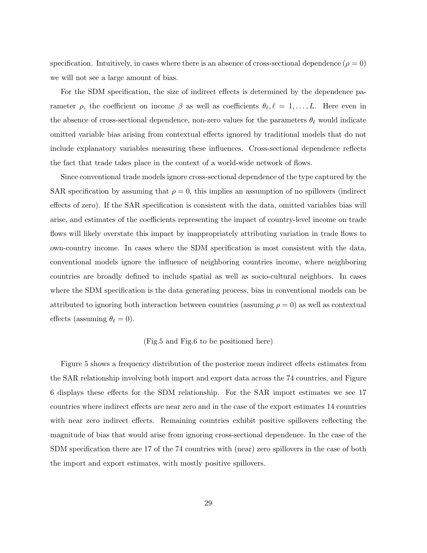specification. Intuitively, in cases where there is an absence of cross-sectional dependence ( $\rho = 0$ ) we will not see a large amount of bias.

For the SDM specification, the size of indirect effects is determined by the dependence parameter  $\rho$ , the coefficient on income  $\beta$  as well as coefficients  $\theta_{\ell}, \ell = 1, \ldots, L$ . Here even in the absence of cross-sectional dependence, non-zero values for the parameters  $\theta_{\ell}$  would indicate omitted variable bias arising from contextual effects ignored by traditional models that do not include explanatory variables measuring these influences. Cross-sectional dependence reflects the fact that trade takes place in the context of a world-wide network of flows.

Since conventional trade models ignore cross-sectional dependence of the type captured by the SAR specification by assuming that  $\rho = 0$ , this implies an assumption of no spillovers (indirect effects of zero). If the SAR specification is consistent with the data, omitted variables bias will arise, and estimates of the coefficients representing the impact of country-level income on trade flows will likely overstate this impact by inappropriately attributing variation in trade flows to own-country income. In cases where the SDM specification is most consistent with the data, conventional models ignore the influence of neighboring countries income, where neighboring countries are broadly defined to include spatial as well as socio-cultural neighbors. In cases where the SDM specification is the data generating process, bias in conventional models can be attributed to ignoring both interaction between countries (assuming  $\rho = 0$ ) as well as contextual effects (assuming  $\theta_{\ell} = 0$ ).

#### (Fig.5 and Fig.6 to be positioned here)

Figure 5 shows a frequency distribution of the posterior mean indirect effects estimates from the SAR relationship involving both import and export data across the 74 countries, and Figure 6 displays these effects for the SDM relationship. For the SAR import estimates we see 17 countries where indirect effects are near zero and in the case of the export estimates 14 countries with near zero indirect effects. Remaining countries exhibit positive spillovers reflecting the magnitude of bias that would arise from ignoring cross-sectional dependence. In the case of the SDM specification there are 17 of the 74 countries with (near) zero spillovers in the case of both the import and export estimates, with mostly positive spillovers.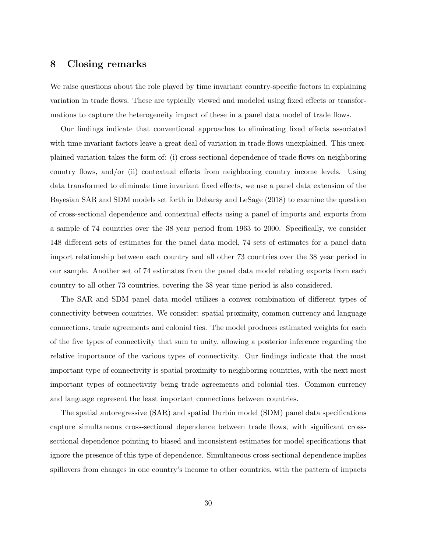# **8 Closing remarks**

We raise questions about the role played by time invariant country-specific factors in explaining variation in trade flows. These are typically viewed and modeled using fixed effects or transformations to capture the heterogeneity impact of these in a panel data model of trade flows.

Our findings indicate that conventional approaches to eliminating fixed effects associated with time invariant factors leave a great deal of variation in trade flows unexplained. This unexplained variation takes the form of: (i) cross-sectional dependence of trade flows on neighboring country flows, and/or (ii) contextual effects from neighboring country income levels. Using data transformed to eliminate time invariant fixed effects, we use a panel data extension of the Bayesian SAR and SDM models set forth in Debarsy and LeSage (2018) to examine the question of cross-sectional dependence and contextual effects using a panel of imports and exports from a sample of 74 countries over the 38 year period from 1963 to 2000. Specifically, we consider 148 different sets of estimates for the panel data model, 74 sets of estimates for a panel data import relationship between each country and all other 73 countries over the 38 year period in our sample. Another set of 74 estimates from the panel data model relating exports from each country to all other 73 countries, covering the 38 year time period is also considered.

The SAR and SDM panel data model utilizes a convex combination of different types of connectivity between countries. We consider: spatial proximity, common currency and language connections, trade agreements and colonial ties. The model produces estimated weights for each of the five types of connectivity that sum to unity, allowing a posterior inference regarding the relative importance of the various types of connectivity. Our findings indicate that the most important type of connectivity is spatial proximity to neighboring countries, with the next most important types of connectivity being trade agreements and colonial ties. Common currency and language represent the least important connections between countries.

The spatial autoregressive (SAR) and spatial Durbin model (SDM) panel data specifications capture simultaneous cross-sectional dependence between trade flows, with significant crosssectional dependence pointing to biased and inconsistent estimates for model specifications that ignore the presence of this type of dependence. Simultaneous cross-sectional dependence implies spillovers from changes in one country's income to other countries, with the pattern of impacts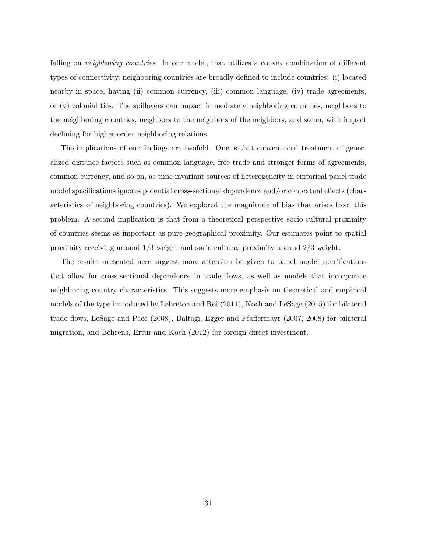falling on *neighboring countries*. In our model, that utilizes a convex combination of different types of connectivity, neighboring countries are broadly defined to include countries: (i) located nearby in space, having (ii) common currency, (iii) common language, (iv) trade agreements, or (v) colonial ties. The spillovers can impact immediately neighboring countries, neighbors to the neighboring countries, neighbors to the neighbors of the neighbors, and so on, with impact declining for higher-order neighboring relations.

The implications of our findings are twofold. One is that conventional treatment of generalized distance factors such as common language, free trade and stronger forms of agreements, common currency, and so on, as time invariant sources of heterogeneity in empirical panel trade model specifications ignores potential cross-sectional dependence and/or contextual effects (characteristics of neighboring countries). We explored the magnitude of bias that arises from this problem. A second implication is that from a theoretical perspective socio-cultural proximity of countries seems as important as pure geographical proximity. Our estimates point to spatial proximity receiving around 1/3 weight and socio-cultural proximity around 2/3 weight.

The results presented here suggest more attention be given to panel model specifications that allow for cross-sectional dependence in trade flows, as well as models that incorporate neighboring country characteristics. This suggests more emphasis on theoretical and empirical models of the type introduced by Lebreton and Roi (2011), Koch and LeSage (2015) for bilateral trade flows, LeSage and Pace (2008), Baltagi, Egger and Pfaffermayr (2007, 2008) for bilateral migration, and Behrens, Ertur and Koch (2012) for foreign direct investment.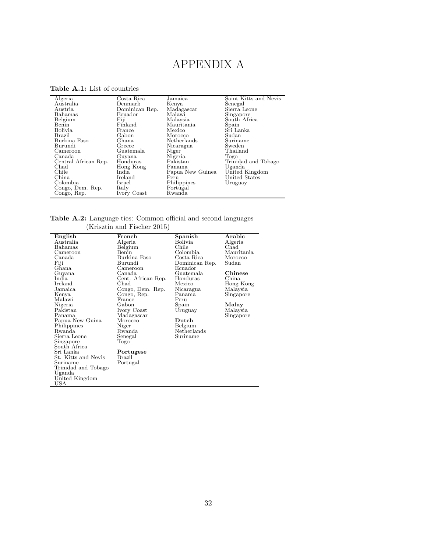# APPENDIX A

| Algeria              | Costa Rica     | Jamaica          | Saint Kitts and Nevis |
|----------------------|----------------|------------------|-----------------------|
| Australia            | Denmark        | Kenya            | Senegal               |
| Austria              | Dominican Rep. | Madagascar       | Sierra Leone          |
| Bahamas              | Ecuador        | Malawi           | Singapore             |
| Belgium              | Fiji           | Malaysia         | South Africa          |
| Benin                | Finland        | Mauritania       | Spain                 |
| Bolivia              | France         | Mexico           | Sri Lanka             |
| Brazil               | Gabon          | Morocco          | Sudan                 |
| Burkina Faso         | Ghana          | Netherlands      | Suriname              |
| Burundi              | Greece         | Nicaragua        | Sweden                |
| Cameroon             | Guatemala      | Niger            | Thailand              |
| Canada               | Guyana         | Nigeria          | Togo                  |
| Central African Rep. | Honduras       | Pakistan         | Trinidad and Tobago   |
| Chad                 | Hong Kong      | Panama           | Uganda                |
| Chile                | India          | Papua New Guinea | United Kingdom        |
| China                | Ireland        | Peru             | United States         |
| Colombia             | Israel         | Philippines      | Uruguay               |
| Congo, Dem. Rep.     | Italy          | Portugal         |                       |
| Congo, Rep.          | Ivory Coast    | Rwanda           |                       |

**Table A.1:** List of countries

**Table A.2:** Language ties: Common official and second languages (Krisztin and Fischer 2015)

| English             | French             | Spanish               | Arabic     |
|---------------------|--------------------|-----------------------|------------|
| Australia           | Algeria            | Bolivia               | Algeria    |
| Bahamas             | Belgium            | Chile                 | Chad       |
| Cameroon            | Benin              | Colombia              | Mauritania |
| Canada              | Burkina Faso       | Costa Rica            | Morocco    |
| Fiji                | Burundi            | Dominican Rep.        | Sudan      |
| Ghana               | Cameroon           | Ecuador               |            |
| Guyana              | Canada             | Guatemala             | Chinese    |
| India               | Cent. African Rep. | Honduras              | China.     |
| Ireland             | Chad               | Mexico                | Hong Kong  |
| Jamaica             | Congo, Dem. Rep.   | Nicaragua             | Malaysia   |
| Kenya               | Congo, Rep.        | Panama                | Singapore  |
| Malawi              | France             | Peru                  |            |
| Nigeria             | Gabon              | Spain                 | Malay      |
| Pakistan            | Ivory Coast        | Uruguay               | Malaysia   |
| Panama              | Madagascar         |                       | Singapore  |
| Papua New Guina     | Morocco            | $\bm{\mathrm{Dutch}}$ |            |
| Philippines         | Niger              | Belgium               |            |
| Rwanda              | Rwanda             | Netherlands           |            |
| Sierra Leone        | Senegal            | Suriname              |            |
| Singapore           | Togo               |                       |            |
| South Africa        |                    |                       |            |
| Sri Lanka           | Portugese          |                       |            |
| St. Kitts and Nevis | Brazil             |                       |            |
| Suriname            | Portugal           |                       |            |
| Trinidad and Tobago |                    |                       |            |
| Uganda              |                    |                       |            |
| United Kingdom      |                    |                       |            |
| USA                 |                    |                       |            |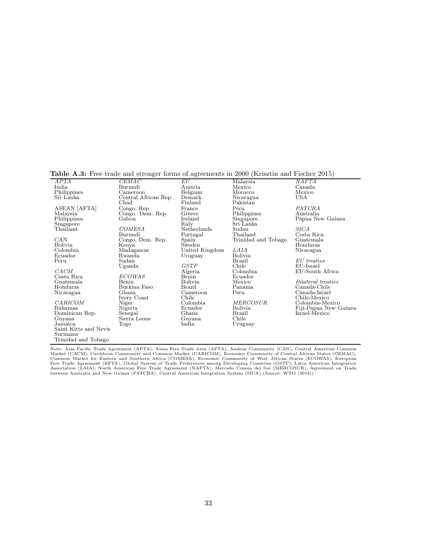**Table A.3:** Free trade and stronger forms of agreements in 2000 (Krisztin and Fischer 2015)

| <b>Lable Trio.</b> The these and birough forms of agreements in 2000 (Tribbeth and I hence 2010) |                      |                |                     |                       |
|--------------------------------------------------------------------------------------------------|----------------------|----------------|---------------------|-----------------------|
| APTA                                                                                             | CEMAC                | $_{EU}$        | Malaysia            | <b>NAFTA</b>          |
| India                                                                                            | Burundi              | Austria        | Mexico              | Canada                |
| Philippines                                                                                      | Cameroon             | Belgium        | Morocco             | Mexico                |
| Sri Lanka                                                                                        | Central African Rep. | Demark         | Nicaragua           | <b>USA</b>            |
|                                                                                                  | Chad                 | Finland        | Pakistan            |                       |
| ASEAN [AFTA]                                                                                     | Congo, Rep.          | France         | Peru                | PATCRA                |
| Malaysia                                                                                         | Congo. Dem. Rep.     | Greece         | Philippines         | Australia             |
| Philippines                                                                                      | Gabon                | Ireland        | Singapore           | Papua New Guinea      |
| Singapore                                                                                        |                      | Italy          | Sri Lanka           |                       |
| Thailand                                                                                         | <b>COMESA</b>        | Netherlands    | Sudan               | <i>SICA</i>           |
|                                                                                                  | Burundi              | Portugal       | Thailand            | Costa Rica            |
| CAN                                                                                              | Congo, Dem. Rep.     | Spain          | Trinidad and Tobago | Guatemala             |
| <b>Bolivia</b>                                                                                   | Kenva                | Sweden         |                     | Honduras              |
| Colombia                                                                                         | Madagascar           | United Kingdom | LAIA                | Nicaragua             |
| Ecuador                                                                                          | Rwanda               | Uruguay        | Bolivia             |                       |
| Peru                                                                                             | Sudan                |                | Brazil              | EU treaties           |
|                                                                                                  | Uganda               | <b>GSTP</b>    | Chile               | EU-Israel             |
| CACM                                                                                             |                      | Algeria        | Colombia            | EU-South Africa       |
| Costa Rica                                                                                       | <b>ECOWAS</b>        | Benin          | Ecuador             |                       |
| Guatemala                                                                                        | Benin                | Bolivia        | Mexico              | Bilateral treaties    |
| Honduras                                                                                         | Burkina Faso         | Brazil         | Panama              | Canada-Chile          |
| Nicaragua                                                                                        | Ghana                | Cameroon       | Peru                | Canada-Israel         |
|                                                                                                  | Ivory Coast          | Chile          |                     | Chile-Mexico          |
| CARICOM                                                                                          | Niger                | Colombia.      | <i>MERCOSUR</i>     | Colombia-Mexico       |
| Bahamas                                                                                          | Nigeria              | Ecuador        | <b>Bolivia</b>      | Fiji-Papua New Guinea |
| Dominican Rep.                                                                                   | Senegal              | Ghana          | Brazil              | Israel-Mexico         |
| Guyana                                                                                           | Sierra Leone         | Guyana         | Chile               |                       |
| Jamaica                                                                                          | Togo                 | India          | Uruguay             |                       |
| Saint Kitts and Nevis                                                                            |                      |                |                     |                       |
| Suriname                                                                                         |                      |                |                     |                       |
| Trinidad and Tobago                                                                              |                      |                |                     |                       |

Note: Asia Pacific Trade Agreement (APTA), Asian Free Trade Area (AFTA), Andean Community (CAN), Central American Common<br>Market (CACM), Caribbean Community and Common Market (CARICOM), Economic Community of Central African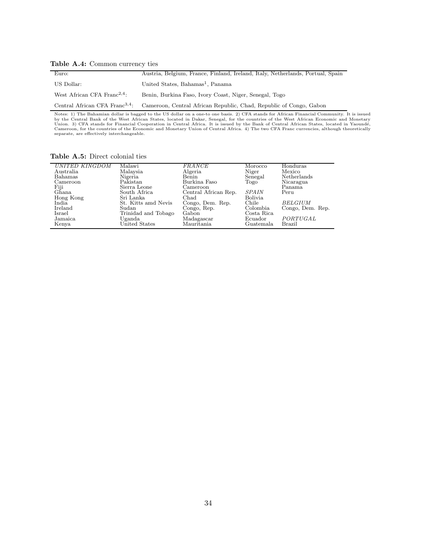#### **Table A.4:** Common currency ties

| Euro:                                   | Austria, Belgium, France, Finland, Ireland, Italy, Netherlands, Portual, Spain                                |
|-----------------------------------------|---------------------------------------------------------------------------------------------------------------|
| US Dollar:                              | United States, Bahamas <sup>1</sup> , Panama                                                                  |
| West African CFA Franc <sup>2,4</sup> : | Benin, Burkina Faso, Ivory Coast, Niger, Senegal, Togo                                                        |
|                                         | Central African CFA Franc <sup>3,4</sup> : Cameroon, Central African Republic, Chad, Republic of Congo, Gabon |

Notes: 1) The Bahamian dollar is bagged to the US dollar on a one-to one basis. 2) CFA stands for African Financial Community. It is issued<br>by the Central Bank of the West African States, located in Dakar, Senegal, for the

**Table A.5:** Direct colonial ties

| UNITED KINGDOM | Malawi              | <b>FRANCE</b>        | Morocco        | Honduras         |
|----------------|---------------------|----------------------|----------------|------------------|
| Australia      | Malaysia            | Algeria              | Niger          | Mexico           |
| Bahamas        | Nigeria             | Benin                | Senegal        | Netherlands      |
| Cameroon       | Pakistan            | Burkina Faso         | Togo           | Nicaragua        |
| Fiji<br>Ghana  | Sierra Leone        | Cameroon             |                | Panama           |
|                | South Africa        | Central African Rep. | <b>SPAIN</b>   | Peru             |
| Hong Kong      | Sri Lanka           | Chad                 | <b>Bolivia</b> |                  |
| India          | St. Kitts amd Nevis | Congo, Dem. Rep.     | Chile          | <b>BELGIUM</b>   |
| Ireland        | Sudan               | Congo, Rep.          | Colombia       | Congo, Dem. Rep. |
| Israel         | Trinidad and Tobago | Gabon                | Costa Rica     |                  |
| Jamaica        | Uganda              | Madagascar           | Ecuador        | PORTUGAL         |
| Kenya          | United States       | Mauritania           | Guatemala      | Brazil           |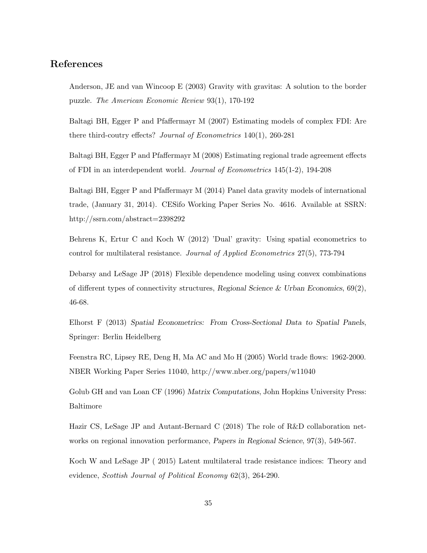# **References**

Anderson, JE and van Wincoop E (2003) Gravity with gravitas: A solution to the border puzzle. *The American Economic Review* 93(1), 170-192

Baltagi BH, Egger P and Pfaffermayr M (2007) Estimating models of complex FDI: Are there third-coutry effects? *Journal of Econometrics* 140(1), 260-281

Baltagi BH, Egger P and Pfaffermayr M (2008) Estimating regional trade agreement effects of FDI in an interdependent world. *Journal of Econometrics* 145(1-2), 194-208

Baltagi BH, Egger P and Pfaffermayr M (2014) Panel data gravity models of international trade, (January 31, 2014). CESifo Working Paper Series No. 4616. Available at SSRN: http://ssrn.com/abstract=2398292

Behrens K, Ertur C and Koch W (2012) 'Dual' gravity: Using spatial econometrics to control for multilateral resistance. *Journal of Applied Econometrics* 27(5), 773-794

Debarsy and LeSage JP (2018) Flexible dependence modeling using convex combinations of different types of connectivity structures, *Regional Science & Urban Economics*, 69(2), 46-68.

Elhorst F (2013) *Spatial Econometrics: From Cross-Sectional Data to Spatial Panels*, Springer: Berlin Heidelberg

Feenstra RC, Lipsey RE, Deng H, Ma AC and Mo H (2005) World trade flows: 1962-2000. NBER Working Paper Series 11040, http://www.nber.org/papers/w11040

Golub GH and van Loan CF (1996) *Matrix Computations*, John Hopkins University Press: Baltimore

Hazir CS, LeSage JP and Autant-Bernard C (2018) The role of R&D collaboration networks on regional innovation performance, *Papers in Regional Science*, 97(3), 549-567.

Koch W and LeSage JP ( 2015) Latent multilateral trade resistance indices: Theory and evidence, *Scottish Journal of Political Economy* 62(3), 264-290.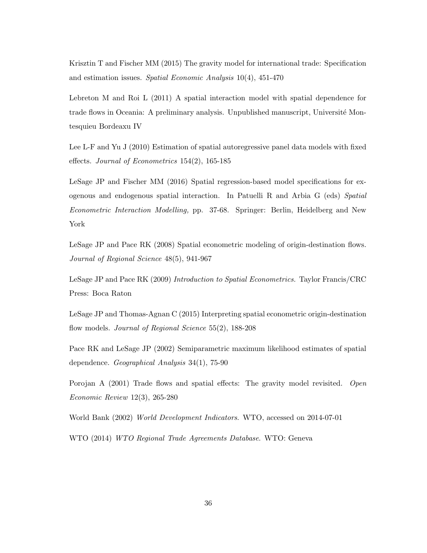Krisztin T and Fischer MM (2015) The gravity model for international trade: Specification and estimation issues. *Spatial Economic Analysis* 10(4), 451-470

Lebreton M and Roi L (2011) A spatial interaction model with spatial dependence for trade flows in Oceania: A preliminary analysis. Unpublished manuscript, Université Montesquieu Bordeaxu IV

Lee L-F and Yu J (2010) Estimation of spatial autoregressive panel data models with fixed effects. *Journal of Econometrics* 154(2), 165-185

LeSage JP and Fischer MM (2016) Spatial regression-based model specifications for exogenous and endogenous spatial interaction. In Patuelli R and Arbia G (eds) *Spatial Econometric Interaction Modelling,* pp. 37-68. Springer: Berlin, Heidelberg and New York

LeSage JP and Pace RK (2008) Spatial econometric modeling of origin-destination flows. *Journal of Regional Science* 48(5), 941-967

LeSage JP and Pace RK (2009) *Introduction to Spatial Econometrics.* Taylor Francis/CRC Press: Boca Raton

LeSage JP and Thomas-Agnan C (2015) Interpreting spatial econometric origin-destination flow models. *Journal of Regional Science* 55(2), 188-208

Pace RK and LeSage JP (2002) Semiparametric maximum likelihood estimates of spatial dependence. *Geographical Analysis* 34(1), 75-90

Porojan A (2001) Trade flows and spatial effects: The gravity model revisited. *Open Economic Review* 12(3), 265-280

World Bank (2002) *World Development Indicators*. WTO, accessed on 2014-07-01

WTO (2014) *WTO Regional Trade Agreements Database*. WTO: Geneva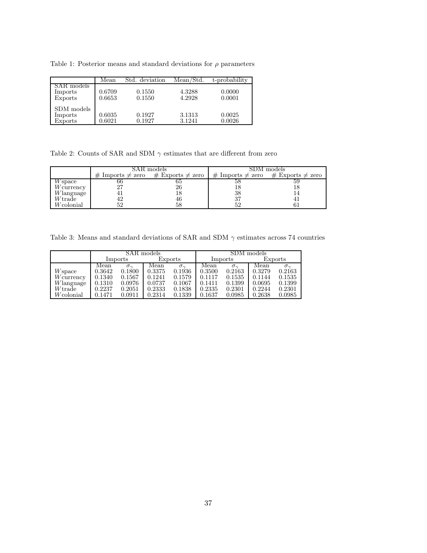Table 1: Posterior means and standard deviations for  $\rho$  parameters

|                                  | Mean             | Std. deviation   | Mean/Std.        | t-probability    |
|----------------------------------|------------------|------------------|------------------|------------------|
| SAR models<br>Imports<br>Exports | 0.6709<br>0.6653 | 0.1550<br>0.1550 | 4.3288<br>4.2928 | 0.0000<br>0.0001 |
| SDM models<br>Imports<br>Exports | 0.6035<br>0.6021 | 0.1927<br>0.1927 | 3.1313<br>3.1241 | 0.0025<br>0.0026 |

Table 2: Counts of SAR and SDM  $\gamma$  estimates that are different from zero

|              |                          | SAR models               | SDM models               |                          |  |  |
|--------------|--------------------------|--------------------------|--------------------------|--------------------------|--|--|
|              | $\#$ Imports $\neq$ zero | $\#$ Exports $\neq$ zero | $\#$ Imports $\neq$ zero | $\#$ Exports $\neq$ zero |  |  |
| W space      | oo                       |                          |                          |                          |  |  |
| $W$ currency |                          | 26                       |                          |                          |  |  |
| $W$ language |                          |                          | 38                       |                          |  |  |
| $W$ trade    |                          | 46                       | 37                       |                          |  |  |
| Wcolonial    |                          |                          |                          |                          |  |  |

Table 3: Means and standard deviations of SAR and SDM  $\gamma$  estimates across 74 countries

|              |        |                 | SAR models |                   |        | SDM models      |        |                 |  |  |
|--------------|--------|-----------------|------------|-------------------|--------|-----------------|--------|-----------------|--|--|
|              |        | Imports         |            | Exports           |        | Imports         |        | Exports         |  |  |
|              | Mean   | $\sigma_{\sim}$ | Mean       | $\sigma_{\gamma}$ | Mean   | $\sigma_{\sim}$ | Mean   | $\sigma_{\sim}$ |  |  |
| $W$ space    | 0.3642 | 0.1800          | 0.3375     | 0.1936            | 0.3500 | 0.2163          | 0.3279 | 0.2163          |  |  |
| $W$ currency | 0.1340 | 0.1567          | 0.1241     | 0.1579            | 0.1117 | 0.1535          | 0.1144 | 0.1535          |  |  |
| Wlanguage    | 0.1310 | 0.0976          | 0.0737     | 0.1067            | 0.1411 | 0.1399          | 0.0695 | 0.1399          |  |  |
| $W$ trade    | 0.2237 | 0.2051          | 0.2333     | 0.1838            | 0.2335 | 0.2301          | 0.2244 | 0.2301          |  |  |
| Wcolonial    | 0.1471 | 0.0911          | 0.2314     | 0.1339            | 0.1637 | 0.0985          | 0.2638 | 0.0985          |  |  |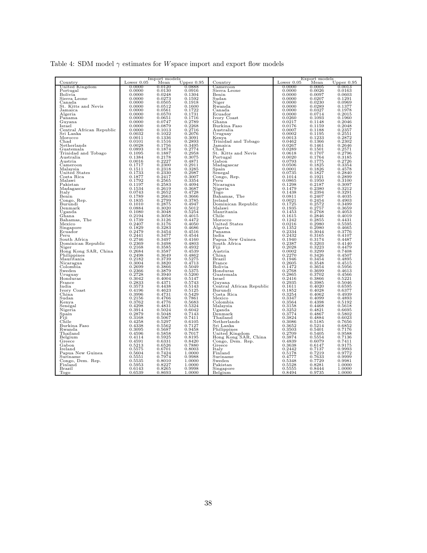|  |  | Table 4: SDM model $\gamma$ estimates for Wspace import and export flow models |  |  |  |  |
|--|--|--------------------------------------------------------------------------------|--|--|--|--|
|  |  |                                                                                |  |  |  |  |

|                                    |                  | Import models    |                  |                                    |                  | Export models    |                  |
|------------------------------------|------------------|------------------|------------------|------------------------------------|------------------|------------------|------------------|
| Country                            | Lower $0.05$     | Mean             | Upper $0.95$     | $_{\rm Country}$                   | Lower $0.05$     | Mean             | Upper $0.95$     |
| United Kingdom                     | 0.0000           | 0.0120           | 0.0888           | Cameroon                           | 0.0000           | 0.0005           | 0.0013           |
| Portugal                           | 0.0000<br>0.0000 | 0.0130<br>0.0248 | 0.0916<br>0.1304 | Sierra Leone<br>Benin              | 0.0000<br>0.0000 | 0.0026<br>0.0097 | 0.0163<br>0.0603 |
| Bolivia<br>Sierra Leone            | 0.0000           | 0.0273           | 0.1592           | Sudan                              | 0.0000           | 0.0207           | 0.1291           |
| Canada                             | 0.0000           | 0.0505           | 0.1918           | Niger                              | 0.0000           | 0.0230           | 0.0969           |
| St. Kitts and Nevis                | 0.0000           | 0.0512           | 0.1600           | Rwanda                             | 0.0000           | 0.0289           | 0.1377           |
| Jamaica                            | 0.0000           | 0.0561           | 0.1722           | Canada                             | 0.0000           | 0.0327           | 0.1978           |
| Algeria                            | 0.0000           | 0.0570           | 0.1731           | Ecuador                            | 0.0000           | 0.0714           | 0.2015           |
| Panama                             | 0.0000           | 0.0651           | 0.1716           | Ivory Coast                        | 0.0260           | 0.1093           | 0.1960           |
| Guyana                             | 0.0000           | 0.0747           | 0.2789           | Ghana                              | 0.0217           | 0.1148           | 0.2046           |
| Israel                             | 0.0000           | 0.0879           | 0.2268           | Burkina Faso                       | 0.0176           | 0.1159           | 0.2048           |
| Central African Republic           | 0.0000           | 0.1013           | 0.2716           | Australia                          | 0.0007           | 0.1188           | 0.2357           |
| Sri Lanka                          | 0.0032           | 0.1022           | 0.2076           | Uruguay                            | 0.0002           | 0.1195           | 0.2551           |
| Morocco                            | 0.0011           | 0.1336           | 0.3091           | Kenya                              | 0.0013           | 0.1233           | 0.2872<br>0.2302 |
| Chad<br>Netherlands                | 0.0101<br>0.0028 | 0.1516<br>0.1756 | 0.2893<br>0.3495 | Trinidad and Tobago<br>Jamaica     | 0.0462<br>0.0267 | 0.1366<br>0.1461 | 0.2646           |
| Guatemala                          | 0.0893           | 0.1874           | 0.2774           | Chad                               | 0.0289           | 0.1501           | 0.2571           |
| Trinidad and Tobago                | 0.1095           | 0.1887           | 0.2958           | St. Kitts and Nevis                | 0.0618           | 0.1707           | 0.2796           |
| Australia                          | 0.1384           | 0.2178           | 0.3075           | Portugal                           | 0.0020           | 0.1764           | 0.3185           |
| Austria                            | 0.0016           | 0.2227           | 0.4871           | Gabon                              | 0.0793           | 0.1775           | 0.2726           |
| Cameroon                           | 0.1717           | 0.2300           | 0.2911           | Madagascar                         | 0.0506           | 0.1825           | 0.3354           |
| Malaysia                           | 0.1511           | 0.2318           | 0.3285           | Spain                              | 0.0001           | 0.1826           | 0.4578           |
| United States                      | 0.1733           | 0.2330           | 0.2987           | Senegal                            | 0.0735           | 0.1827           | 0.2840           |
| Costa Rica                         | 0.1877           | 0.2417           | 0.3007           | Congo, Rep.                        | 0.1014           | 0.1921           | 0.2899           |
| Malawi                             | 0.1792           | 0.2565           | 0.3354           | Peru                               | 0.0865           | 0.1950           | 0.3100           |
| Pakistan                           | 0.1197           | 0.2583           | 0.4094           | Nicaragua                          | 0.1298           | 0.2187           | 0.3097           |
| Madagascar<br>Italy                | 0.1534<br>0.0743 | 0.2619<br>0.2652 | 0.3687<br>0.4728 | Nigeria<br>Togo                    | 0.1479<br>0.1438 | 0.2380<br>0.2394 | 0.3212<br>0.3291 |
| Benin                              | 0.1789           | 0.2663           | 0.3666           | Bahamas, The                       | 0.0811           | 0.2407           | 0.4035           |
| Congo, Rep.                        | 0.1835           | 0.2799           | 0.3785           | Ireland                            | 0.0021           | 0.2454           | 0.4903           |
| Burundi                            | 0.1010           | 0.2875           | 0.4947           | Dominican Republic                 | 0.1725           | 0.2572           | 0.3499           |
| Denmark                            | 0.0884           | 0.3020           | 0.5012           | Malawi                             | 0.1935           | 0.2757           | 0.3659           |
| Uganda                             | 0.1080           | 0.3048           | 0.5254           | Mauritania                         | 0.1453           | 0.2768           | 0.4053           |
| Ghana                              | 0.2194           | 0.3058           | 0.4015           | Chile                              | 0.1615           | 0.2846           | 0.4019           |
| Bahamas, The                       | 0.1739           | 0.3126           | 0.4472           | Morocco                            | 0.1242           | 0.2855           | 0.4431           |
| Mexico                             | 0.2407           | 0.3176           | 0.4050           | United States                      | 0.0216           | 0.2980           | 0.5595           |
| Singapore                          | 0.1829           | 0.3283           | 0.4686           | Algeria                            | 0.1352           | 0.2980           | 0.4665           |
| Ecuador                            | 0.2479           | 0.3454           | 0.4516           | Panama                             | 0.2334           | 0.3044           | 0.3776           |
| Peru                               | 0.2441<br>0.2746 | 0.3477<br>0.3497 | 0.4544<br>0.4160 | India<br>Papua New Guinea          | 0.2432<br>0.1940 | 0.3165<br>0.3174 | 0.4107<br>0.4487 |
| South Africa<br>Dominican Republic | 0.2369           | 0.3498           | 0.4803           | South Africa                       | 0.2387           | 0.3203           | 0.4140           |
| Niger                              | 0.2168           | 0.3585           | 0.4932           | Fiji                               | 0.2028           | 0.3223           | 0.4479           |
| Hong Kong SAR, China               | 0.2684           | 0.3587           | 0.4539           | Austria                            | 0.0002           | 0.3299           | 0.7408           |
| Philippines                        | 0.2498           | 0.3649           | 0.4862           | China                              | 0.2270           | 0.3426           | 0.4507           |
| Mauritania                         | 0.2182           | 0.3739           | 0.5275           | Brazil                             | 0.1946           | 0.3454           | 0.4895           |
| Nicaragua                          | 0.3004           | 0.3820           | 0.4713           | France                             | 0.2605           | 0.3548           | 0.4515           |
| Colombia                           | 0.2699           | 0.3866           | 0.5049           | Bolivia                            | 0.1472           | 0.3654           | 0.5956           |
| Sweden                             | 0.2366           | 0.3879           | 0.5375           | Honduras                           | 0.2768           | 0.3699           | 0.4613           |
| Uruguay                            | 0.2728           | 0.3940           | 0.5200           | Guatemala                          | 0.2865           | 0.3702           | 0.4566           |
| Honduras<br>France                 | 0.3042           | 0.4004           | 0.5147           | Israel                             | 0.2416<br>0.2935 | 0.3866           | 0.5221           |
| India                              | 0.2833<br>0.3573 | 0.4371<br>0.4438 | 0.5743<br>0.5143 | Guyana<br>Central African Republic | 0.1611           | 0.3985<br>0.4020 | 0.5046<br>0.6595 |
| Ivory Coast                        | 0.4196           | 0.4623           | 0.5125           | Burundi                            | 0.1852           | 0.4028           | 0.6377           |
| China                              | 0.3996           | 0.4731           | 0.5429           | Costa Rica                         | 0.3254           | 0.4062           | 0.4939           |
| Sudan                              | 0.2156           | 0.4766           | 0.7861           | Mexico                             | 0.3347           | 0.4099           | 0.4893           |
| Kenya                              | 0.3762           | 0.4776           | 0.5683           | Colombia                           | 0.3564           | 0.4398           | 0.5192           |
| Senegal                            | 0.4298           | 0.4831           | 0.5324           | Malaysia                           | 0.3158           | 0.4468           | 0.5618           |
| Nigeria                            | 0.3914           | 0.5024           | 0.6042           | Uganda                             | 0.3252           | 0.4821           | 0.6695           |
| Spain                              | 0.2879           | 0.5048           | 0.7143           | Denmark                            | 0.3774           | 0.4867           | 0.5802           |
| Fiji                               | 0.3168           | 0.5067           | 0.7411           | Thailand                           | 0.3824           | 0.4884           | 0.6023           |
| Chile<br>Burkina Faso              | 0.4258<br>0.4338 | 0.5297<br>0.5562 | 0.6105<br>0.7127 | Netherlands<br>Sri Lanka           | 0.3086<br>0.3652 | 0.5185<br>0.5214 | 0.7656<br>0.6852 |
| Rwanda                             | 0.3095           | 0.5687           | 0.9458           | Philippines                        | 0.3503           | 0.5401           | 0.7176           |
| Thailand                           | 0.4596           | 0.5858           | 0.7017           | United Kingdom                     | 0.2709           | 0.5405           | 0.9588           |
| Belgium                            | 0.4114           | 0.5925           | 0.8195           | Hong Kong SAR, China               | 0.3874           | 0.5554           | 0.7136           |
| Greece                             | 0.4591           | 0.6331           | 0.8420           | Congo, Dem. Rep.                   | 0.4839           | 0.6079           | 0.7411           |
| Gabon                              | 0.5213           | 0.6526           | 0.7880           | Greece                             | 0.3638           | 0.6147           | 0.9175           |
| Ireland                            | 0.5575           | 0.6701           | 0.8003           | Italy                              | 0.2442           | 0.7137           | 0.9993           |
| Papua New Guinea                   | 0.5604           | 0.7424           | 1.0000           | Finland                            | 0.5178           | 0.7219           | 0.9772           |
| Suriname                           | 0.5551           | 0.7974           | 0.9988           | Suriname                           | 0.4777           | 0.7633           | 0.9999           |
| Congo, Dem. Rep.                   | 0.5535           | 0.8010           | 1.0000           | Sweden                             | 0.5348           | 0.7729           | 0.9981           |
| Finland                            | 0.5953<br>0.6143 | 0.8227<br>0.8265 | 1.0000<br>0.9998 | Pakistan                           | 0.5528<br>0.5555 | 0.8281<br>0.8444 | 1.0000<br>1.0000 |
| Brazil<br>Togo                     | 0.6539           | 0.8693           | 1.0000           | Singapore<br>Belgium               | 0.8494           | 0.9735           | 1.0000           |
|                                    |                  |                  |                  |                                    |                  |                  |                  |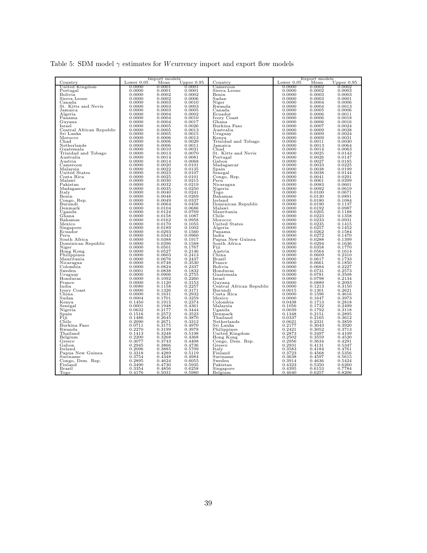|  |  | Table 5: SDM model $\gamma$ estimates for <i>W</i> currency import and export flow models |  |  |  |  |
|--|--|-------------------------------------------------------------------------------------------|--|--|--|--|
|  |  |                                                                                           |  |  |  |  |

|                             |                  | Import models    |                  |                          |              | Export models |              |
|-----------------------------|------------------|------------------|------------------|--------------------------|--------------|---------------|--------------|
| Country                     | Lower $0.05$     | Mean             | Upper $0.95$     | Country                  | Lower $0.05$ | Mean          | Upper $0.95$ |
| United Kingdom              | 0.0000           | 0.0001           | 0.0001           | Cameroon                 | 0.0000       | 0.0002        | 0.0002       |
| Portugal                    | 0.0000           | 0.0001           | 0.0001           | Sierra Leone             | 0.0000       | 0.0002        | 0.0003       |
| Bolivia                     | 0.0000           | 0.0002           | 0.0002           | Benin                    | 0.0000       | 0.0003        | 0.0003       |
| Sierra Leone                | 0.0000           | 0.0002           | 0.0006           | Sudan                    | 0.0000       | 0.0003        | 0.0001       |
| Canada                      | 0.0000           | 0.0003           | 0.0010           | Niger                    | 0.0000       | 0.0004        | 0.0006       |
| St. Kitts and Nevis         | 0.0000           | 0.0003           | 0.0003           | Rwanda                   | 0.0000       | 0.0004        | 0.0013       |
| Jamaica                     | 0.0000           | 0.0003           | 0.0005           | Canada                   | 0.0000       | 0.0005        | 0.0006       |
| Algeria                     | 0.0000           | 0.0004           | 0.0002           | Ecuador                  | 0.0000       | 0.0006        | 0.0011       |
| Panama                      | 0.0000           | 0.0004           | 0.0010           | Ivory Coast              | 0.0000       | 0.0006        | 0.0018       |
| Guyana                      | 0.0000           | 0.0004           | 0.0017           | Ghana                    | 0.0000       | 0.0006        | 0.0016       |
| Israel                      | 0.0000           | 0.0005           | 0.0026           | Burkina Faso             | 0.0000       | 0.0007        | 0.0024       |
| Central African Republic    | 0.0000           | 0.0005           | 0.0013           | Australia                | 0.0000       | 0.0009        | 0.0038       |
| Sri Lanka                   | 0.0000           | 0.0005           | 0.0015           | Uruguay                  | 0.0000       | 0.0009        | 0.0024       |
| Morocco                     | 0.0000           | 0.0006           | 0.0013           | Kenya                    | 0.0000       | 0.0009        | 0.0031       |
| Chad                        | 0.0000           | 0.0006           | 0.0029           | Trinidad and Tobago      | 0.0000       | 0.0011        | 0.0030       |
| Netherlands                 | 0.0000           | 0.0006           | 0.0011           | Jamaica                  | 0.0000       | 0.0013        | 0.0064       |
| Guatemala                   | 0.0000           | 0.0010           | 0.0031           | Chad                     | 0.0000       | 0.0014        | 0.0063       |
| Trinidad and Tobago         | 0.0000           | 0.0013           | 0.0070           | St. Kitts and Nevis      | 0.0000       | 0.0025        | 0.0143       |
| Australia                   | 0.0000           | 0.0014           | 0.0081           | Portugal                 | 0.0000       | 0.0026        | 0.0147       |
| Austria                     | 0.0000           | 0.0014           | 0.0068           | Gabon                    | 0.0000       | 0.0027        | 0.0185       |
| $\rm Cameroon$              | 0.0000           | 0.0020           | 0.0101           | Madagascar               | 0.0000       | 0.0033        | 0.0225       |
| Malavsia                    | 0.0000           | 0.0022           | 0.0135           | Spain                    | 0.0000       | 0.0038        | 0.0199       |
| United States               | 0.0000           | 0.0023           | 0.0107           | Senegal                  | 0.0000       | 0.0038        | 0.0144       |
| Costa Rica                  | 0.0000           | 0.0025           | 0.0101           | Congo, Rep.              | 0.0000       | 0.0041        | 0.0291       |
| Malawi                      | 0.0000           | 0.0030           | 0.0215           | Peru                     | 0.0000       | 0.0061        | 0.0399       |
| Pakistan                    | 0.0000           | 0.0032           | 0.0219           | Nicaragua                | 0.0000       | 0.0083        | 0.0601       |
| Madagascar                  | 0.0000           | 0.0035           | 0.0250           | Nigeria                  | 0.0000       | 0.0092        | 0.0619       |
| Italy                       | 0.0000           | 0.0040           | 0.0241           | Togo                     | 0.0000       | 0.0100        | 0.0671       |
| Benin                       | 0.0000           | 0.0048           | 0.0269           | Bahamas                  | 0.0000       | 0.0130        | 0.0891       |
| Congo, Rep.                 | 0.0000           | 0.0049           | 0.0337           | Ireland                  | 0.0000       | 0.0180        | 0.1084       |
| Burundi                     | 0.0000           | 0.0064           | 0.0458           | Dominican Republic       | 0.0000       | 0.0190        | 0.1137       |
| Denmark                     | 0.0000           | 0.0104           | 0.0686           | Malawi                   | 0.0000       | 0.0192        | 0.0987       |
|                             |                  | 0.0124           | 0.0769           |                          | 0.0000       | 0.0205        | 0.1188       |
| Uganda                      | 0.0000           |                  |                  | Mauritania               |              |               |              |
| Ghana                       | 0.0000           | 0.0158           | 0.1087           | Chile                    | 0.0000       | 0.0223        | 0.1358       |
| Bahamas                     | 0.0000           | 0.0162           | 0.0958           | Morocco                  | 0.0000       | 0.0233        | 0.0931       |
| Mexico                      | 0.0000           | 0.0170           | 0.1055           | United States            | 0.0000       | 0.0235        | 0.1415       |
| Singapore                   | 0.0000           | 0.0189           | 0.1002           | Algeria                  | 0.0000       | 0.0257        | 0.1452       |
| Ecuador                     | 0.0000           | 0.0293           | 0.1560           | Panama                   | 0.0000       | 0.0262        | 0.1584       |
| Peru                        | 0.0000           | 0.0343           | 0.0960           | India                    | 0.0000       | 0.0272        | 0.1470       |
| South Africa                | 0.0000           | 0.0388           | 0.1917           | Papua New Guinea         | 0.0000       | 0.0288        | 0.1399       |
| Dominican Republic          | 0.0000           | 0.0396           | 0.1588           | South Africa             | 0.0000       | 0.0294        | 0.1636       |
| Niger                       | 0.0000           | 0.0501           | 0.1767           | Fiii                     | 0.0000       | 0.0358        | 0.1770       |
| Hong Kong                   | 0.0000           | 0.0527           | 0.2146           | Austria                  | 0.0000       | 0.0564        | 0.1614       |
| Philippines                 | 0.0000           | 0.0603           | 0.2413           | China                    | 0.0000       | 0.0609        | 0.2310       |
| Mauritania                  | 0.0000           | 0.0676           | 0.2437           | Brazil                   | 0.0000       | 0.0617        | 0.1733       |
| Nicaragua                   | 0.0000           | 0.0748           | 0.3530           | France                   | 0.0000       | 0.0661        | 0.1850       |
| Colombia                    | 0.0000           | 0.0824           | 0.2337           | Bolivia                  | 0.0000       | 0.0684        | 0.2227       |
| Sweden                      | 0.0001           | 0.0838           | 0.1832           | Honduras                 | 0.0000       | 0.0731        | 0.2573       |
| Uruguay                     | 0.0000           | 0.0906           | 0.2755           | Guatemala                | 0.0000       | 0.0781        | 0.3508       |
| Honduras                    | 0.0000           | 0.1092           | 0.2260           | Israel                   | 0.0000       | 0.0798        | 0.2134       |
| France                      | 0.0000           | 0.1120           | 0.3153           | Guyana                   | 0.0000       | 0.0889        | 0.2093       |
| India                       | 0.0080           | 0.1158           | 0.2257           | Central African Republic | 0.0000       | 0.1213        | 0.3150       |
| Ivory Coast                 | 0.0000           | 0.1326           | 0.3171           | Burundi                  | 0.0015       | 0.1301        | 0.2621       |
| China                       | 0.0000           | 0.1631           | 0.2932           | Costa Rica               | 0.0000       | 0.1596        | 0.4616       |
| $\operatorname{Sudan}$      | 0.0004           | 0.1701           | 0.3259           | Mexico                   | 0.0000       | 0.1647        | 0.3973       |
| Kenya                       | 0.1450           | 0.1915           | 0.2374           | Colombia                 | 0.0438       | 0.1713        | 0.2818       |
| Senegal                     | 0.0001           | 0.1948           | 0.4361           | Malaysia                 | 0.1056       | 0.1732        | 0.2499       |
| Nigeria                     | 0.0632           | 0.2177           | 0.3444           | Uganda                   | 0.0039       | 0.1792        | 0.3118       |
| Spain                       | 0.1516           | 0.2572           | 0.3523           | Denmark                  | 0.1348       | 0.2151        | 0.2895       |
| Fiji                        | 0.1486           | 0.2645           | 0.3870           | Thailand                 | 0.0337       | 0.2165        | 0.3612       |
| Chile                       | 0.2090           | 0.2671           | 0.3312           | Netherlands              | 0.0621       | 0.2331        | 0.3859       |
| Burkina Faso                | 0.0711           | 0.3175           | 0.4970           | Sri Lanka                | 0.2177       | 0.3043        | 0.3920       |
| Rwanda                      | 0.2270           | 0.3199           | 0.3978           | Philippines              | 0.2421       | 0.3052        | 0.3713       |
| Thailand                    | 0.1413           | 0.3248           | 0.5198           | United Kingdom           | 0.2873       | 0.3497        | 0.4109       |
| Belgium                     | 0.2200           | 0.3268           | 0.4368           | Hong Kong                | 0.2502       | 0.3559        | 0.4520       |
| Greece                      | 0.3077           | 0.3743           | 0.4408           | Congo, Dem. Rep.         | 0.2956       | 0.3634        | 0.4291       |
| Gabon                       | 0.2945           | 0.3866           | 0.4736           | Greece                   | 0.2931       | 0.4131        | 0.5347       |
| Ireland                     | 0.2096           | 0.3885           | 0.5709           | Italy                    | 0.3583       | 0.4184        | 0.4761       |
| Papua New Guinea            | 0.3318           | 0.4289           | 0.5119           | Finland                  | 0.3723       | 0.4568        | 0.5356       |
| Suriname                    | 0.3754           | 0.4348           | 0.4984           | Suriname                 | 0.3638       | 0.4597        | 0.5615       |
|                             | 0.2895           | 0.4624           | 0.6055           | Sweden                   | 0.3914       | 0.4636        | 0.5424       |
| Congo, Dem. Rep.<br>Finland | 0.3490           | 0.4730           | 0.5935           | Pakistan                 | 0.4323       | 0.5350        | 0.6260       |
|                             |                  |                  |                  |                          | 0.4395       | 0.6153        |              |
| Brazil                      | 0.3354<br>0.4176 | 0.4856<br>0.5031 | 0.6258<br>0.5980 | Singapore                | 0.4640       |               | 0.7784       |
| Togo                        |                  |                  |                  | Belgium                  |              | 0.6257        | 0.8206       |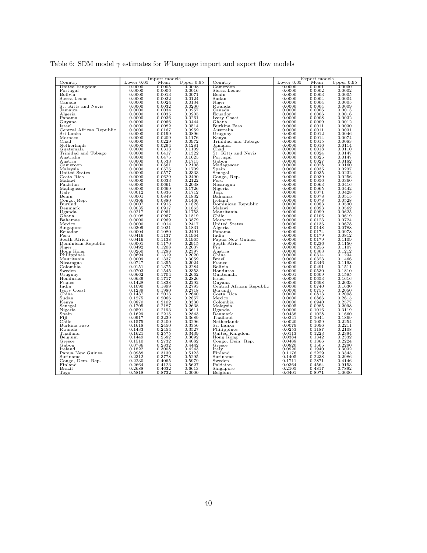|  |  |  | Table 6: SDM model $\gamma$ estimates for Wlanguage import and export flow models |  |  |  |
|--|--|--|-----------------------------------------------------------------------------------|--|--|--|
|  |  |  |                                                                                   |  |  |  |

|                          |                  | Import models    |              |                          | Export models |        |                  |  |  |
|--------------------------|------------------|------------------|--------------|--------------------------|---------------|--------|------------------|--|--|
| $_{\rm Country}$         | Lower $0.05$     | Mean             | Upper $0.95$ | $_{\rm Country}$         | Lower $0.05$  | Mean   | Upper $0.95$     |  |  |
| United Kingdom           | 0.0000           | 0.0005           | 0.0008       | Cameroon                 | 0.0000        | 0.0001 | 0.0000           |  |  |
| Portugal                 | 0.0000           | 0.0006           | 0.0016       | Sierra Leone             | 0.0000        | 0.0002 | 0.0002           |  |  |
| Bolivia                  | 0.0000           | 0.0013           | 0.0071       | Benin                    | 0.0000        | 0.0003 | 0.0005           |  |  |
| Sierra Leone             | 0.0000           | 0.0022           | 0.0124       | S <sub>udan</sub>        | 0.0000        | 0.0004 | 0.0004           |  |  |
| Canada                   | 0.0000           | 0.0024           | 0.0134       | Niger                    | 0.0000        | 0.0004 | 0.0005           |  |  |
| St. Kitts and Nevis      | 0.0000           | 0.0032           | 0.0200       | Rwanda                   | 0.0000        | 0.0004 | 0.0009           |  |  |
| Jamaica                  | 0.0000           | 0.0034           | 0.0257       | Canada                   | 0.0000        | 0.0006 | 0.0013           |  |  |
| Algeria                  | 0.0000           | 0.0035           | 0.0205       | Ecuador                  | 0.0000        | 0.0006 | 0.0016           |  |  |
| Panama                   | 0.0000           | 0.0036           | 0.0261       | Ivory Coast              | 0.0000        | 0.0008 | 0.0032           |  |  |
| Guyana                   | 0.0000           | 0.0066           | 0.0444       | Ghana                    | 0.0000        | 0.0009 | 0.0012           |  |  |
| Israel                   | 0.0000           | 0.0082           | 0.0514       | Burkina Faso             | 0.0000        | 0.0011 | 0.0030           |  |  |
| Central African Republic | 0.0000           | 0.0167           | 0.0959       | Australia                | 0.0000        | 0.0011 | 0.0031           |  |  |
| Sri Lanka                | 0.0000           | 0.0199           | 0.0896       | Uruguay                  | 0.0000        | 0.0012 | 0.0046           |  |  |
| Morocco                  | 0.0000           | 0.0209           | 0.1176       | Kenya                    | 0.0000        | 0.0014 | 0.0074           |  |  |
| Chad                     | 0.0000           | 0.0229           | 0.0972       | Trinidad and Tobago      | 0.0000        | 0.0015 | 0.0083           |  |  |
| Netherlands              | 0.0000           | 0.0294           | 0.1281       | Jamaica                  | 0.0000        | 0.0016 | 0.0114           |  |  |
| Guatemala                | 0.0000           | 0.0313           | 0.1109       | Chad                     | 0.0000        | 0.0018 | 0.0110           |  |  |
| Trinidad and Tobago      | 0.0000           | 0.0417           | 0.1322       | St. Kitts and Nevis      | 0.0000        | 0.0024 | 0.0147           |  |  |
| Australia                | 0.0000           | 0.0475           | 0.1625       | Portugal                 | 0.0000        | 0.0025 | 0.0147           |  |  |
| Austria                  | 0.0000           | 0.0533           | 0.1715       | Gabon                    | 0.0000        | 0.0027 | 0.0182           |  |  |
| $\rm Cameroon$           | 0.0000           | 0.0561           | 0.2108       | Madagascar               | 0.0000        | 0.0028 | 0.0160           |  |  |
| Malaysia                 | 0.0000           | 0.0575           | 0.1709       | Spain                    | 0.0000        | 0.0035 | 0.0237           |  |  |
| United States            | 0.0000           | 0.0577           | 0.2333       | Senegal                  | 0.0000        | 0.0035 | 0.0232           |  |  |
| Costa Rica               | 0.0000           | 0.0629           | 0.2490       | Congo, Rep.              | 0.0000        | 0.0039 | 0.0256           |  |  |
| Malawi                   | 0.0000           | 0.0633           | 0.2122       | Peru                     | 0.0000        | 0.0056 | 0.0360           |  |  |
| Pakistan                 | 0.0000           | 0.0661           | 0.2038       | Nicaragua                | 0.0000        | 0.0063 | 0.0416           |  |  |
| Madagascar               | 0.0000           | 0.0669           | 0.1726       | Nigeria                  | 0.0000        | 0.0065 | 0.0442           |  |  |
| Italy                    | 0.0012           | 0.0836           | 0.1712       | Togo                     | 0.0000        | 0.0071 | 0.0428           |  |  |
| Benin                    | 0.0001           | 0.0849           | 0.1832       | Bahamas                  | 0.0000        | 0.0078 | 0.0515           |  |  |
|                          | 0.0366           | 0.0880           | 0.1446       | Ireland                  | 0.0000        | 0.0078 | 0.0528           |  |  |
| Congo, Rep.<br>Burundi   | 0.0007           | 0.0915           | 0.1828       | Dominican Republic       | 0.0000        | 0.0083 | 0.0530           |  |  |
|                          | 0.0035           | 0.0917           | 0.1863       | Malawi                   | 0.0000        | 0.0093 | 0.0562           |  |  |
| Denmark                  |                  |                  |              |                          |               |        |                  |  |  |
| Uganda                   | 0.0217           | 0.0961           | 0.1753       | Mauritania               | 0.0000        | 0.0099 | 0.0625           |  |  |
| Ghana                    | 0.0108           | 0.0967           | 0.1819       | Chile                    | 0.0000        | 0.0106 | 0.0619           |  |  |
| Bahamas                  | 0.0000           | 0.0969           | 0.3879       | Morocco                  | 0.0000        | 0.0123 | 0.0724           |  |  |
| Mexico                   | 0.0000           | 0.1014           | 0.2417       | United States            | 0.0000        | 0.0136 | 0.0678           |  |  |
| Singapore                | 0.0309           | 0.1021           | 0.1831       | Algeria                  | 0.0000        | 0.0148 | 0.0788           |  |  |
| Ecuador                  | 0.0004           | 0.1080           | 0.2491       | Panama                   | 0.0000        | 0.0174 | 0.0978           |  |  |
| Peru                     | 0.0416           | 0.1137           | 0.1964       | India                    | 0.0000        | 0.0179 | 0.0812           |  |  |
| South Africa             | 0.0416           | 0.1138           | 0.1965       | Papua New Guinea         | 0.0000        | 0.0179 | 0.1109           |  |  |
| Dominican Republic       | 0.0001           | 0.1170           | 0.2915       | South Africa             | 0.0000        | 0.0236 | 0.1150           |  |  |
| Niger                    | 0.0492           | 0.1208           | 0.2037       | Fiji                     | 0.0000        | 0.0256 | 0.1107           |  |  |
| Hong Kong                | 0.0260           | 0.1288           | 0.2397       | Austria                  | 0.0000        | 0.0303 | 0.1212           |  |  |
| Philippines              | 0.0694           | 0.1319           | 0.2020       | China                    | 0.0000        | 0.0314 | 0.1234           |  |  |
| Mauritania               | 0.0009           | 0.1337           | 0.3059       | Brazil                   | 0.0000        | 0.0323 | 0.1466           |  |  |
| Nicaragua                | 0.0747           | 0.1355           | 0.2024       | France                   | 0.0000        | 0.0346 | 0.1198           |  |  |
| Colombia                 | 0.0151           | 0.1375           | 0.2284       | Bolivia                  | 0.0000        | 0.0491 | 0.1511           |  |  |
| Sweden                   | 0.0703           | 0.1545           | 0.2353       | Honduras                 | 0.0000        | 0.0530 | 0.1810           |  |  |
| Uruguay                  | 0.0662           | 0.1704           | 0.2662       | Guatemala                | 0.0001        | 0.0609 | 0.1585           |  |  |
| Honduras                 | 0.0639           | 0.1717           | 0.2826       | Israel                   | 0.0000        | 0.0653 | 0.1616           |  |  |
| France                   | 0.1428           | 0.1838           | 0.2292       | Guyana                   | 0.0000        | 0.0698 | 0.2033           |  |  |
| India                    | 0.1090           | 0.1899           | 0.2793       | Central African Republic | 0.0000        | 0.0740 | 0.1630           |  |  |
| Ivory Coast              | 0.1239           | 0.1980           | 0.2718       | Burundi                  | 0.0000        | 0.0755 | 0.2050           |  |  |
| China                    | 0.1437           | 0.2013           | 0.2640       | Costa Rica               | 0.0000        | 0.0813 | 0.2098           |  |  |
| $\operatorname{Sudan}$   | 0.1275           | 0.2066           | 0.2857       | Mexico                   | 0.0000        | 0.0866 | 0.2615           |  |  |
| Kenva                    | 0.0870           | 0.2102           | 0.3330       | Colombia                 | 0.0000        | 0.0940 | 0.2577           |  |  |
| Senegal                  | 0.1705           | 0.2187           | 0.2638       | Malaysia                 | 0.0005        | 0.0985 | 0.2098           |  |  |
| Nigeria                  | 0.0591           | 0.2193           | 0.3611       | Uganda                   | 0.0000        | 0.1016 | 0.3119           |  |  |
| Spain                    | 0.1629           | 0.2215           | 0.2843       | Denmark                  | 0.0438        | 0.1028 | 0.1660           |  |  |
| Fiji                     | 0.0917           | 0.2239           | 0.3689       | Thailand                 | 0.0241        | 0.1044 | 0.1869           |  |  |
| Chile                    | 0.1575           | 0.2400           | 0.3296       | Netherlands              | 0.0020        | 0.1059 | 0.2254           |  |  |
| Burkina Faso             | 0.1618           | 0.2450           | 0.3356       | Sri Lanka                | 0.0079        | 0.1096 | 0.2211           |  |  |
| Rwanda                   | 0.1433           | 0.2454           | 0.3527       | Philippines              | 0.0253        | 0.1187 | 0.2108           |  |  |
| Thailand                 | 0.1621           | 0.2575           | 0.3439       | United Kingdom           | 0.0113        | 0.1223 | 0.2394           |  |  |
| Belgium                  | 0.1449           | 0.2582           | 0.3692       | Hong Kong                | 0.0384        | 0.1342 | 0.2332           |  |  |
| Greece                   | 0.1510           | 0.2732           | 0.4082       | Congo, Dem. Rep.         | 0.0488        | 0.1366 | 0.2224           |  |  |
| Gabon                    | 0.0786           | 0.2832           | 0.4442       | Greece                   | 0.0820        | 0.1505 | 0.2290           |  |  |
| Ireland                  | 0.1822           | 0.3008           | 0.4243       | Italy                    | 0.0920        | 0.1940 | 0.3032           |  |  |
| Papua New Guinea         | 0.0988           | 0.3130           | 0.5123       | Finland                  | 0.1176        | 0.2229 | 0.3345           |  |  |
|                          | 0.2312           | 0.3778           | 0.5295       | Suriname                 | 0.1405        | 0.2238 | 0.2986           |  |  |
| Suriname                 | 0.2230           | 0.4065           | 0.5979       | Sweden                   | 0.1711        | 0.2871 | 0.4146           |  |  |
| Congo, Dem. Rep.         | 0.2664           | 0.4123           | 0.5627       |                          | 0.0364        | 0.4564 |                  |  |  |
| Finland                  |                  |                  | 0.6613       | Pakistan                 | 0.2105        |        | 0.9153           |  |  |
| Brazil                   | 0.2688<br>0.5818 | 0.4632<br>0.8732 | 1.0000       | Singapore                | 0.6401        | 0.4817 | 0.7892<br>1.0000 |  |  |
| Togo                     |                  |                  |              | Belgium                  |               | 0.8971 |                  |  |  |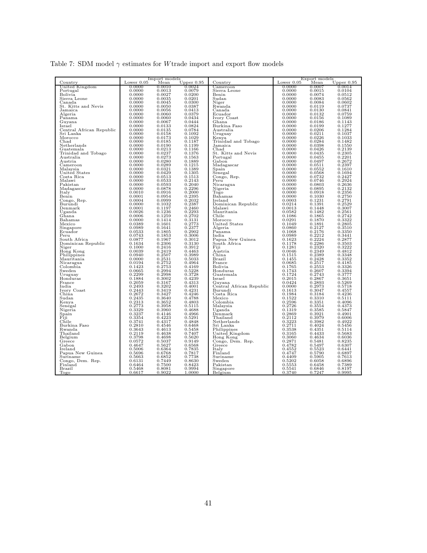|  | Table 7: SDM model $\gamma$ estimates for W trade import and export flow models |  |  |  |  |
|--|---------------------------------------------------------------------------------|--|--|--|--|
|  |                                                                                 |  |  |  |  |

|                          |              | Import models |                      |                          | Export models |        |                      |  |  |
|--------------------------|--------------|---------------|----------------------|--------------------------|---------------|--------|----------------------|--|--|
| $_{\rm Country}$         | Lower $0.05$ | Mean          | Upper $0.95$         | $_{\rm Country}$         | Lower $0.05$  | Mean   | Upper $0.95$         |  |  |
| United Kingdom           | 0.0000       | 0.0010        | 0.0024               | Cameroon                 | 0.0000        | 0.0007 | 0.0014               |  |  |
| Portugal                 | 0.0000       | 0.0013        | 0.0079               | Sierra Leone             | 0.0000        | 0.0015 | 0.0104               |  |  |
| Bolivia                  | 0.0000       | 0.0027        | 0.0200               | Benin                    | 0.0000        | 0.0074 | 0.0512               |  |  |
| Sierra Leone             | 0.0000       | 0.0035        | 0.0201               | S <sub>udan</sub>        | 0.0000        | 0.0083 | 0.0562               |  |  |
| Canada                   | 0.0000       | 0.0045        | 0.0300               | Niger                    | 0.0000        | 0.0084 | 0.0602               |  |  |
| St. Kitts and Nevis      | 0.0000       | 0.0050        | 0.0387               | Rwanda                   | 0.0000        | 0.0119 | 0.0737               |  |  |
| Jamaica                  | 0.0000       | 0.0056        | 0.0413               | Canada                   | 0.0000        | 0.0130 | 0.0841               |  |  |
| Algeria                  | 0.0000       | 0.0060        | 0.0379               | Ecuador                  | 0.0000        | 0.0132 | 0.0759               |  |  |
| Panama                   | 0.0000       | 0.0060        | 0.0434               | Ivory Coast              | 0.0000        | 0.0156 | 0.1089               |  |  |
| Guyana                   | 0.0000       | 0.0067        | 0.0444               | Ghana                    | 0.0000        | 0.0186 | 0.1143               |  |  |
| Israel                   | 0.0000       | 0.0133        | 0.0824               | Burkina Faso             | 0.0000        | 0.0199 | 0.1277               |  |  |
| Central African Republic | 0.0000       | 0.0135        | 0.0784               | Australia                | 0.0000        | 0.0206 | 0.1284               |  |  |
| Sri Lanka                | 0.0000       | 0.0158        | 0.1092               | Uruguay                  | 0.0000        | 0.0211 | 0.1037               |  |  |
| Morocco                  | 0.0000       | 0.0173        | 0.1029               | Kenya                    | 0.0000        | 0.0226 | 0.1033               |  |  |
| Chad                     | 0.0000       | 0.0185        | 0.1187               | Trinidad and Tobago      | 0.0000        | 0.0284 | 0.1482               |  |  |
| Netherlands              | 0.0000       | 0.0190        | 0.1199               | Jamaica                  | 0.0000        | 0.0398 | 0.1550               |  |  |
|                          |              | 0.0213        |                      |                          |               | 0.0426 | 0.2139               |  |  |
| Guatemala                | 0.0000       |               | 0.1166               | Chad                     | 0.0000        |        | 0.2305               |  |  |
| Trinidad and Tobago      | 0.0000       | 0.0237        | 0.1376               | St. Kitts and Nevis      | 0.0000        | 0.0435 |                      |  |  |
| Australia                | 0.0000       | 0.0273        | 0.1563               | Portugal                 | 0.0000        | 0.0455 | 0.2201               |  |  |
| Austria                  | 0.0000       | 0.0280        | 0.1889               | Gabon                    | 0.0000        | 0.0497 | 0.2672               |  |  |
| Cameroon                 | 0.0000       | 0.0289        | 0.1215               | Madagascar               | 0.0000        | 0.0511 | 0.2397               |  |  |
| Malaysia                 | 0.0000       | 0.0321        | 0.1389               | Spain                    | 0.0000        | 0.0552 | 0.1610               |  |  |
| United States            | 0.0000       | 0.0429        | 0.1305               | Senegal                  | 0.0000        | 0.0568 | 0.1694               |  |  |
| Costa Rica               | 0.0000       | 0.0513        | 0.1513               | Congo, Rep.              | 0.0000        | 0.0732 | 0.2427               |  |  |
| Malawi                   | 0.0000       | 0.0533        | 0.2143               | Peru                     | 0.0000        | 0.0746 | 0.2924               |  |  |
| Pakistan                 | 0.0000       | 0.0593        | 0.2040               | Nicaragua                | 0.0000        | 0.0803 | 0.2636               |  |  |
| Madagascar               | 0.0000       | 0.0878        | 0.2296               | Nigeria                  | 0.0000        | 0.0895 | 0.2132               |  |  |
| Italy                    | 0.0010       | 0.0916        | 0.2000               | Togo                     | 0.0000        | 0.0918 | 0.2356               |  |  |
| Benin                    | 0.0001       | 0.0954        | 0.2395               | Bahamas                  | 0.0000        | 0.1030 | 0.2750               |  |  |
| Congo, Rep.              | 0.0004       | 0.0999        | 0.2032               | Ireland                  | 0.0003        | 0.1231 | 0.2791               |  |  |
| Burundi                  | 0.0000       | 0.1032        | 0.2387               | Dominican Republic       | 0.0214        | 0.1391 | 0.2529               |  |  |
| Denmark                  | 0.0001       | 0.1197        | 0.2460               | Malawi                   | 0.0013        | 0.1448 | 0.3007               |  |  |
| Uganda                   | 0.0026       | 0.1236        | 0.2293               | Mauritania               | 0.0582        | 0.1482 | 0.2561               |  |  |
| Ghana                    | 0.0006       | 0.1259        | 0.2702               | Chile                    | 0.1086        | 0.1865 |                      |  |  |
| Bahamas                  | 0.0000       | 0.1414        | 0.3131               | Morocco                  | 0.0291        | 0.1870 | $0.2742$<br>$0.3322$ |  |  |
| Mexico                   | 0.0389       | 0.1601        | 0.2773               | United States            | 0.1049        | 0.1891 | 0.2805               |  |  |
| Singapore                | 0.0989       | 0.1641        |                      | Algeria                  | 0.0860        | 0.2127 | 0.3510               |  |  |
| Ecuador                  | 0.0533       | 0.1805        | $0.2377$<br>$0.2902$ | Panama                   | 0.1068        | 0.2176 | 0.3350               |  |  |
| Peru                     | 0.0743       | 0.1853        | 0.3006               | India                    | 0.0989        | 0.2212 | 0.3441               |  |  |
|                          |              | 0.1967        | 0.3012               | Papua New Guinea         | 0.1623        | 0.2224 | 0.2877               |  |  |
| South Africa             | 0.0877       | 0.2306        | 0.3130               |                          | 0.1178        | 0.2286 | 0.3503               |  |  |
| Dominican Republic       | 0.1634       |               |                      | South Africa             |               | 0.2320 |                      |  |  |
| Niger                    | 0.1000       | 0.2416        | 0.3912               | Fiji                     | 0.1281        |        | 0.3222               |  |  |
| Hong Kong                | 0.0039       | 0.2419        | 0.4463               | Austria                  | 0.0046        | 0.2349 | 0.4812               |  |  |
| Philippines              | 0.0940       | 0.2507        | 0.3989               | China                    | 0.1515        | 0.2389 | 0.3348               |  |  |
| Mauritania               | 0.0000       | 0.2531        | 0.5033               | Brazil                   | 0.1455        | 0.2428 | 0.3352               |  |  |
| Nicaragua                | 0.0194       | 0.2752        | 0.4964               | France                   | 0.0685        | 0.2517 | 0.4185               |  |  |
| Colombia                 | 0.1423       | 0.2753        | 0.4169               | Bolivia                  | 0.1765        | 0.2553 | 0.3326               |  |  |
| Sweden                   | 0.0665       | 0.2994        | 0.5228               | Honduras                 | 0.1743        | 0.2607 | 0.3394               |  |  |
| Uruguay                  | 0.2299       | 0.2998        | 0.3728               | Guatemala                | 0.1724        | 0.2743 | 0.3777               |  |  |
| Honduras                 | 0.1884       | 0.3002        | 0.4239               | Israel                   | 0.2015        | 0.2867 | 0.3651               |  |  |
| France                   | 0.2059       | 0.3167        | 0.4313               | Guyana                   | 0.0424        | 0.2893 | 0.5269               |  |  |
| India                    | 0.2493       | 0.3202        | 0.4001               | Central African Republic | 0.0000        | 0.2973 | 0.5718               |  |  |
| Ivory Coast              | 0.2443       | 0.3419        | 0.4231               | Burundi                  | 0.1613        | 0.3047 | 0.4557               |  |  |
| China                    | 0.2672       | 0.3427        | 0.4246               | Costa Rica               | 0.1984        | 0.3184 | 0.4236               |  |  |
| Sudan                    | 0.2435       | 0.3640        | 0.4788               | Mexico                   | 0.1522        | 0.3310 | 0.5111               |  |  |
| Kenya                    | 0.2313       | 0.3652        | 0.4803               | Colombia                 | 0.2596        | 0.3351 | 0.4096               |  |  |
| Senegal                  | 0.2773       | 0.3958        | 0.5115               | Malaysia                 | 0.2726        | 0.3554 | 0.4373               |  |  |
| Nigeria                  | 0.3329       | 0.3960        | 0.4688               | Uganda                   | 0.1319        | 0.3585 | 0.5847               |  |  |
| $_{\rm Spain}$           | 0.3237       | 0.4146        | 0.4966               | Denmark                  | 0.2869        | 0.3921 | 0.4901               |  |  |
| Fiji                     | 0.3354       | 0.4223        | 0.5291               | Thailand                 | 0.2112        | 0.3979 | 0.6006               |  |  |
| Chile                    | 0.3741       | 0.4317        | 0.4848               | Netherlands              | 0.3223        | 0.3982 | 0.4922               |  |  |
| Burkina Faso             | 0.2810       | 0.4546        | 0.6468               | Sri Lanka                | 0.2711        | 0.4024 | 0.5456               |  |  |
| Rwanda                   | 0.3643       | 0.4613        | 0.5458               | Philippines              | 0.3538        | 0.4351 | 0.5114               |  |  |
| Thailand                 | 0.2119       | 0.4638        | 0.7407               | United Kingdom           | 0.3165        | 0.4433 | 0.5683               |  |  |
| Belgium                  | 0.3798       | 0.4698        | 0.5620               | Hong Kong                | 0.3060        | 0.4634 | 0.6036               |  |  |
| Greece                   | 0.0572       | 0.5037        | 0.9149               | Congo, Dem. Rep.         | 0.2871        | 0.5481 | 0.8235               |  |  |
| Gabon                    | 0.4647       | 0.5627        | 0.6568               | Greece                   | 0.4782        | 0.5497 | 0.6307               |  |  |
| Ireland                  | 0.5006       | 0.6364        | 0.7835               | Italy                    | 0.4552        | 0.5523 | 0.6441               |  |  |
| Papua New Guinea         | 0.5696       | 0.6768        | 0.7817               | Finland                  | 0.4747        | 0.5790 | 0.6897               |  |  |
| Suriname                 | 0.5663       | 0.6852        | 0.7738               | Suriname                 | 0.4409        | 0.5905 | 0.7613               |  |  |
| Congo, Dem. Rep.         | 0.6131       | 0.7449        | 0.8630               | Sweden                   | 0.5202        | 0.6058 | 0.6896               |  |  |
| Finland                  | 0.6464       | 0.7500        | 0.8423               | Pakistan                 | 0.5553        | 0.6458 | 0.7389               |  |  |
| Brazil                   | 0.5468       | 0.8081        | 0.9994               | Singapore                | 0.5541        | 0.6846 | 0.8197               |  |  |
| Togo                     | 0.6617       | 0.9022        | 1.0000               | Belgium                  | 0.3740        | 0.7247 | 0.9995               |  |  |
|                          |              |               |                      |                          |               |        |                      |  |  |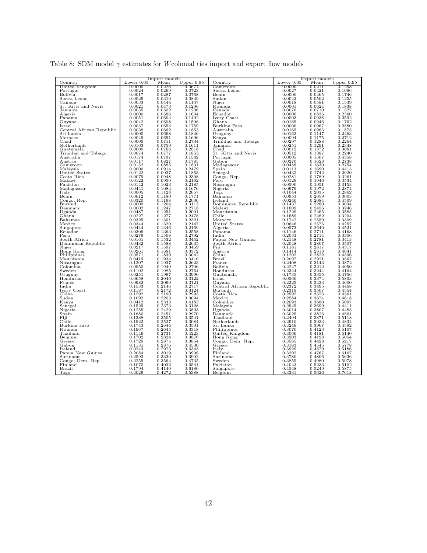|  |  | Table 8: SDM model $\gamma$ estimates for <i>W</i> colonial ties import and export flow models |  |  |  |  |  |
|--|--|------------------------------------------------------------------------------------------------|--|--|--|--|--|
|  |  |                                                                                                |  |  |  |  |  |

|                          |              | Import models |                                                 |                          |                      | Export models |                                                    |
|--------------------------|--------------|---------------|-------------------------------------------------|--------------------------|----------------------|---------------|----------------------------------------------------|
| Country                  | Lower $0.05$ | Mean          | Upper $0.95$                                    | $_{\rm Country}$         | Lower $0.05$         | Mean          | Upper $0.95$                                       |
| United Kingdom           | 0.0000       | 0.0226        | 0.0677                                          | Cameroon                 | 0.0000               | 0.0211        | 0.1258                                             |
| Portugal                 | 0.0024       | 0.0269        | 0.0723                                          | Sierra Leone             | 0.0027               | 0.0421        | 0.1096                                             |
| Bolivia                  | 0.0017       | 0.0287        | 0.0768                                          | Benin                    | 0.0000               | 0.0465        | 0.1746                                             |
| Sierra Leone             | 0.0029       | 0.0310        | 0.0849                                          | S <sub>udan</sub>        | 0.0042               | 0.0502        | 0.1255                                             |
| Canada                   | 0.0033       | 0.0444        | 0.1147                                          | Niger                    | 0.0018               | 0.0581        | 0.1539                                             |
| St. Kitts and Nevis      | 0.0021       | 0.0473        | 0.1206                                          | Rwanda                   | 0.0001               | 0.0624        | $\overset{0.1838}{_{0.1527}}$                      |
| Jamaica                  | 0.0035       | 0.0502        | 0.1206                                          | Canada                   | 0.0070               | 0.0710        |                                                    |
| Algeria                  | 0.0000       | 0.0586        | 0.1634                                          | Ecuador                  | 0.0000               | 0.0835        | 0.2360                                             |
| Panama                   | 0.0051       | 0.0604        | 0.1492                                          | Ivory Coast              | 0.0003               | 0.0938        | 0.2592                                             |
| Guyana                   | 0.0042       | 0.0608        | 0.1508                                          | Ghana                    | 0.0165               | 0.0946        | 0.1762                                             |
| Israel                   | 0.0037       | 0.0654        | 0.1759                                          | Burkina Faso             | 0.0000               | 0.0967        | 0.2580                                             |
| Central African Republic | 0.0038       | 0.0662        | 0.1853                                          | Australia                | 0.0165               | 0.0983        | 0.1873                                             |
| Sri Lanka                | 0.0000       | 0.0668        | 0.1840                                          | Uruguay                  | 0.0162               | 0.1147        | 0.2463                                             |
| Morocco                  | 0.0049       | 0.0691        | 0.1696                                          | Kenya                    | 0.0094               | 0.1175        | 0.2712                                             |
| Chad                     | 0.0000       | 0.0711        | 0.2734                                          | Trinidad and Tobago      | 0.0297               | 0.1288        | 0.2264                                             |
| Netherlands              |              | 0.0759        | 0.1611                                          |                          | 0.0251               | 0.1291        | 0.2348                                             |
|                          | 0.0103       | 0.0766        |                                                 | Jamaica                  |                      |               | 0.3081                                             |
| Guatemala                | 0.0000       |               | 0.2818                                          | Chad                     | 0.0012               | 0.1372        |                                                    |
| Trinidad and Tobago      | 0.0074       | 0.0777        | 0.1853                                          | St. Kitts and Nevis      | 0.0512               | 0.1387        | 0.2240                                             |
| Australia                | 0.0174       | 0.0797        | 0.1542                                          | Portugal                 | 0.0005               | 0.1507        | 0.4358                                             |
| Austria                  | 0.0117       | 0.0827        | 0.1785                                          | Gabon                    | 0.0270               | 0.1628        | 0.2738                                             |
| Cameroon                 | 0.0152       | 0.0885        | 0.1831                                          | Madagascar               | 0.0458               | 0.1630        | 0.2754                                             |
| Malavsia                 | 0.0000       | 0.0914        | 0.2479                                          | Spain                    | 0.0113               | 0.1690        | 0.4415                                             |
| United States            | 0.0122       | 0.0937        | 0.1863                                          | Senegal                  | 0.0432               | 0.1742        | 0.2920                                             |
| Costa Rica               | 0.0079       | 0.0948        | 0.2308                                          | Congo, Rep.              | 0.0281               | 0.1789        | 0.3261                                             |
| Malawi                   | 0.0122       | 0.0950        | 0.2162                                          | Peru                     | 0.0129               | 0.1946        | 0.3534                                             |
| Pakistan                 | 0.0142       | 0.1023        | 0.2185                                          | Nicaragua                | 0.0590               | 0.1951        | 0.3153                                             |
| Madagascar               | 0.0441       | 0.1084        | 0.1676                                          | Nigeria                  | 0.0979               | 0.1972        |                                                    |
| Italy                    | 0.0005       | 0.1124        | 0.2657                                          | Togo                     | 0.1044               | 0.2035        | $\overset{\scriptstyle0.2874}{\scriptstyle0.2862}$ |
| Benin                    | 0.0612       | 0.1180        | 0.1771                                          | Bahamas                  | 0.0953               | 0.2059        | 0.3003                                             |
| Congo, Rep.              | 0.0320       | 0.1198        | 0.2036                                          | Ireland                  | 0.0240               | 0.2084        | 0.4509                                             |
| Burundi                  | 0.0009       | 0.1204        | 0.3113                                          | Dominican Republic       | 0.1437               | 0.2280        | 0.3034                                             |
| Denmark                  | 0.0002       | 0.1247        |                                                 | Malawi                   | 0.1609               | 0.2456        | 0.3246                                             |
| Uganda                   | 0.0487       | 0.1251        | $\begin{array}{c} 0.2718 \\ 0.2001 \end{array}$ | Mauritania               | 0.1229               | 0.2465        | 0.3585                                             |
| Ghana                    | 0.0227       | 0.1277        | 0.2478                                          | Chile                    | 0.1689               | 0.2482        | 0.3204                                             |
| Bahamas                  | 0.0325       | 0.1301        | 0.2321                                          | Morocco                  | 0.1742               | 0.2559        | 0.3309                                             |
| Mexico                   | 0.0344       | 0.1320        | 0.2147                                          | United States            | 0.0646               | 0.2575        | 0.4257                                             |
|                          |              |               | 0.2169                                          |                          |                      | 0.2640        |                                                    |
| Singapore                | 0.0444       | 0.1346        | 0.2558                                          | Algeria                  | 0.0573               |               | 0.4521                                             |
| Ecuador                  | 0.0306       | 0.1363        | 0.2792                                          | Panama                   | 0.1146               | 0.2711        | 0.4168                                             |
| Peru                     | 0.0279       | 0.1508        |                                                 | India                    | 0.2033               | 0.2714        | 0.3306                                             |
| South Africa             | 0.0161       | 0.1532        | 0.3452                                          | Papua New Guinea         | 0.2148               | 0.2781        | 0.3413                                             |
| Dominican Republic       | 0.0432       | 0.1588        | 0.2635                                          | South Africa             | 0.2048               | 0.2807        | 0.3507                                             |
| Niger                    | 0.0217       | 0.1597        | 0.3459                                          | Fiji                     | 0.1181               | 0.2817        | 0.4317                                             |
| Hong Kong                | 0.0261       | 0.1681        | 0.3372                                          | Austria                  | 0.1414               | 0.2818        | 0.4041                                             |
| Philippines              | 0.0571       | 0.1839        | 0.3042                                          | China                    | 0.1202               | 0.2822        | 0.4396                                             |
| Mauritania               | 0.0419       | 0.1934        | 0.3410                                          | Brazil                   | 0.2097               | 0.2921        | 0.3567                                             |
| Nicaragua                | 0.1207       | 0.1937        | 0.2623                                          | France                   | 0.2408               | 0.3143        | 0.3872                                             |
| Colombia                 | 0.0950       | 0.1949        | 0.2706                                          | Bolivia                  | 0.2247               | 0.3212        | 0.4050                                             |
| Sweden                   | 0.1102       | 0.1985        | 0.2764                                          | Honduras                 | 0.2344               | 0.3244        | 0.4164                                             |
| Uruguay                  | 0.0251       | 0.1997        | 0.3990                                          | Guatemala                | 0.1735               | 0.3355        | 0.4756                                             |
| Honduras                 | 0.0658       | 0.2046        | 0.3122                                          | Israel                   | 0.0560               | 0.3374        | 0.5803                                             |
| France                   | 0.0982       | 0.2090        | 0.3121                                          | Guyana                   | 0.2225               | 0.3433        | 0.4600                                             |
| India                    | 0.1533       | 0.2146        | 0.2717                                          | Central African Republic | 0.2372               | 0.3495        | 0.4468                                             |
| Ivory Coast              | 0.1187       | 0.2172        | 0.3124                                          | Burundi                  |                      | 0.3507        | 0.4554                                             |
| China                    | 0.1292       | 0.2190        | 0.2993                                          | Costa Rica               | $0.2319$<br>$0.2592$ | 0.3523        | 0.4361                                             |
| Sudan                    | 0.1092       | 0.2203        | 0.3094                                          | Mexico                   | 0.2584               | 0.3674        | 0.4618                                             |
| Kenya                    | 0.0412       | 0.2333        | 0.4183                                          | Colombia                 | 0.2093               | 0.3680        | 0.5097                                             |
| Senegal                  | 0.1529       | 0.2373        | 0.3128                                          | Malaysia                 | 0.2945               | 0.3699        | 0.4411                                             |
| Nigeria                  | 0.1255       | 0.2429        | 0.3503                                          | Uganda                   | 0.3014               | 0.3807        | 0.4485                                             |
| Spain                    | 0.1880       | 0.2451        | 0.2970                                          | Denmark                  | 0.3025               | 0.3826        | 0.4561                                             |
| Fiji                     | 0.1388       | 0.2505        | 0.3541                                          | Thailand                 | 0.2494               | 0.3871        | 0.5118                                             |
| Chile                    | 0.1922       | 0.2527        | 0.3084                                          | Netherlands              | 0.2910               | 0.3933        | 0.4834                                             |
| Burkina Faso             | 0.1743       | 0.2644        | 0.3501                                          | Sri Lanka                | 0.3249               | 0.3967        | 0.4592                                             |
|                          | 0.1967       | 0.2645        | 0.3318                                          |                          | 0.3070               | 0.4123        | 0.5107                                             |
| Rwanda                   |              |               |                                                 | Philippines              |                      |               |                                                    |
| Thailand                 | 0.1146       | 0.2731        | 0.4223                                          | United Kingdom           | 0.3066               | 0.4181        | 0.5140                                             |
| Belgium                  | 0.1702       | 0.2824        | 0.3870                                          | Hong Kong                | 0.3203               | 0.4198        | 0.5054                                             |
| Greece                   | 0.1729       | 0.2875        | 0.3854                                          | Congo, Dem. Rep.         | 0.3585               | 0.4428        | 0.5217                                             |
| Gabon                    | 0.1131       | 0.2876        | 0.4530                                          | Greece                   | 0.3183               | 0.4545        | 0.5778                                             |
| Ireland                  | 0.0243       | 0.2973        | 0.6343                                          | Italy                    | 0.3929               | 0.4579        | 0.5186                                             |
| Papua New Guinea         | 0.2084       | 0.3019        | 0.3906                                          | Finland                  | 0.3202               | 0.4767        | 0.6167                                             |
| Suriname                 | 0.2593       | 0.3330        | 0.3902                                          | Suriname                 | 0.3780               | 0.4806        | 0.5636                                             |
| Congo, Dem. Rep.         | 0.2255       | ${ 0.3564}$   | 0.4735                                          | Sweden                   | 0.3855               | 0.4980        | 0.5978                                             |
| Finland                  | 0.1070       | 0.4032        | 0.6541                                          | Pakistan                 | 0.4043               | 0.5233        | 0.6102                                             |
| Brazil                   | 0.1794       | 0.4140        | 0.6180                                          | Singapore                | 0.4548               | 0.5249        | 0.5875                                             |
| Togo                     | 0.3029       | 0.4272        | 0.5388                                          | Belgium                  | 0.3331               | 0.5626        | 0.7618                                             |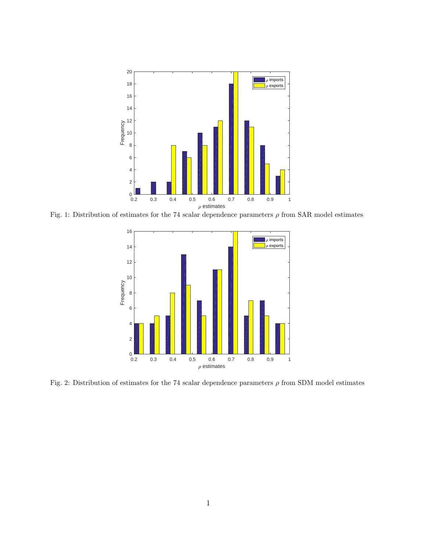

Fig. 1: Distribution of estimates for the 74 scalar dependence parameters *ρ* from SAR model estimates



Fig. 2: Distribution of estimates for the 74 scalar dependence parameters *ρ* from SDM model estimates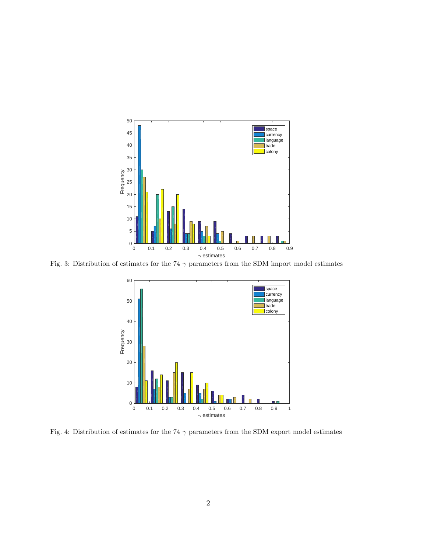

Fig. 3: Distribution of estimates for the 74  $\gamma$  parameters from the SDM import model estimates



Fig. 4: Distribution of estimates for the 74  $\gamma$  parameters from the SDM export model estimates